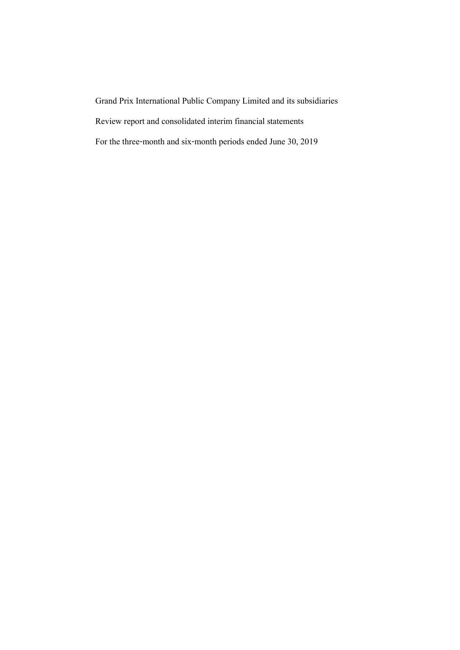Grand Prix International Public Company Limited and its subsidiaries Review report and consolidated interim financial statements For the three-month and six-month periods ended June 30,2019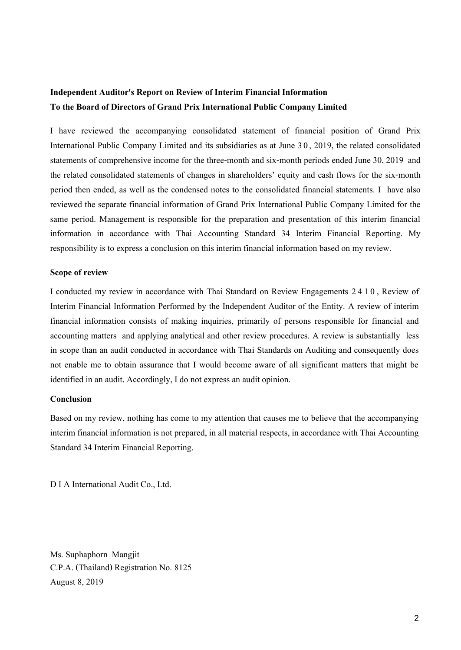# **Independent Auditor's Report on Review of Interim Financial Information To the Board of Directorsof Grand Prix International Public Company Limited**

I have reviewed the accompanying consolidated statement of financial position of Grand Prix International Public Company Limited and its subsidiaries as at June 3 0, 2019, the related consolidated statements of comprehensive income for the three-month and six-month periods ended June 30, 2019 and the related consolidated statements of changes in shareholders' equity and cash flows for the six-month period then ended, as well as the condensed notes to the consolidated financial statements. I have also reviewed the separate financial information of Grand Prix International Public Company Limited for the same period. Management is responsible for the preparation and presentation of this interim financial information in accordance with Thai Accounting Standard 34 Interim Financial Reporting. My responsibility is to express a conclusion on this interim financial information based on my review.

# **Scope of review**

I conducted my review in accordance with Thai Standard on Review Engagements 2 4 1 0, Review of Interim Financial Information Performed by the Independent Auditor of the Entity. A review of interim financial information consists of making inquiries, primarily of persons responsible for financial and accounting matters and applying analytical and other review procedures. A review is substantially less in scope than an audit conducted in accordance with Thai Standards on Auditing and consequently does not enable me to obtain assurance that I would become aware of all significant matters that might be identified in an audit. Accordingly, I do not express an audit opinion.

# **Conclusion**

Based on my review, nothing has come to my attention that causes me to believe that the accompanying interim financial information is not prepared, in all material respects, in accordance with Thai Accounting Standard 34 Interim Financial Reporting.

D I A International Audit Co., Ltd.

Ms.Suphaphorn Mangjit C.P.A. (Thailand) Registration No. 8125 August 8, 2019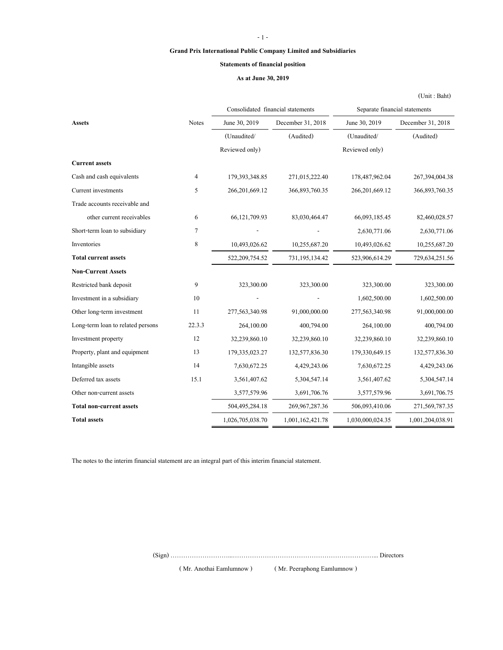## - 1 -

# **Grand Prix International Public Company Limited and Subsidiaries**

# **Statements of financial position**

# **As at June 30, 2019**

(Unit : Baht)

|                                   |              |                   | Consolidated financial statements |                  | Separate financial statements |  |
|-----------------------------------|--------------|-------------------|-----------------------------------|------------------|-------------------------------|--|
| Assets                            | <b>Notes</b> | June 30, 2019     | December 31, 2018                 | June 30, 2019    | December 31, 2018             |  |
|                                   |              | (Unaudited/       | (Audited)                         | (Unaudited/      | (Audited)                     |  |
|                                   |              | Reviewed only)    |                                   | Reviewed only)   |                               |  |
| <b>Current assets</b>             |              |                   |                                   |                  |                               |  |
| Cash and cash equivalents         | 4            | 179,393,348.85    | 271,015,222.40                    | 178,487,962.04   | 267,394,004.38                |  |
| Current investments               | 5            | 266, 201, 669. 12 | 366,893,760.35                    | 266,201,669.12   | 366,893,760.35                |  |
| Trade accounts receivable and     |              |                   |                                   |                  |                               |  |
| other current receivables         | 6            | 66,121,709.93     | 83,030,464.47                     | 66,093,185.45    | 82,460,028.57                 |  |
| Short-term loan to subsidiary     | 7            |                   |                                   | 2,630,771.06     | 2,630,771.06                  |  |
| Inventories                       | 8            | 10,493,026.62     | 10,255,687.20                     | 10,493,026.62    | 10,255,687.20                 |  |
| <b>Total current assets</b>       |              | 522,209,754.52    | 731, 195, 134. 42                 | 523,906,614.29   | 729,634,251.56                |  |
| <b>Non-Current Assets</b>         |              |                   |                                   |                  |                               |  |
| Restricted bank deposit           | 9            | 323,300.00        | 323,300.00                        | 323,300.00       | 323,300.00                    |  |
| Investment in a subsidiary        | 10           |                   |                                   | 1,602,500.00     | 1,602,500.00                  |  |
| Other long-term investment        | 11           | 277,563,340.98    | 91,000,000.00                     | 277,563,340.98   | 91,000,000.00                 |  |
| Long-term loan to related persons | 22.3.3       | 264,100.00        | 400,794.00                        | 264,100.00       | 400,794.00                    |  |
| Investment property               | 12           | 32,239,860.10     | 32,239,860.10                     | 32,239,860.10    | 32,239,860.10                 |  |
| Property, plant and equipment     | 13           | 179,335,023.27    | 132,577,836.30                    | 179,330,649.15   | 132,577,836.30                |  |
| Intangible assets                 | 14           | 7,630,672.25      | 4,429,243.06                      | 7,630,672.25     | 4,429,243.06                  |  |
| Deferred tax assets               | 15.1         | 3,561,407.62      | 5,304,547.14                      | 3,561,407.62     | 5,304,547.14                  |  |
| Other non-current assets          |              | 3,577,579.96      | 3,691,706.76                      | 3,577,579.96     | 3,691,706.75                  |  |
| <b>Total non-current assets</b>   |              | 504,495,284.18    | 269, 967, 287. 36                 | 506,093,410.06   | 271,569,787.35                |  |
| <b>Total assets</b>               |              | 1,026,705,038.70  | 1,001,162,421.78                  | 1,030,000,024.35 | 1,001,204,038.91              |  |
|                                   |              |                   |                                   |                  |                               |  |

The notes to the interim financial statement are an integral part of this interim financial statement.

(Sign) ………………………...…………………………………………………………... Directors

( Mr. Anothai Eamlumnow ) ( Mr. Peeraphong Eamlumnow )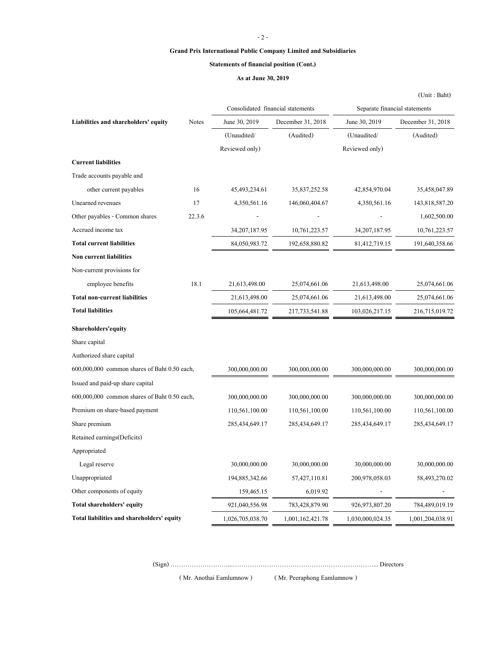#### - 2 -

#### **Grand Prix International Public Company Limited and Subsidiaries**

#### **Statements of financial position (Cont.)**

#### **As at June 30, 2019**

**Liabilities and shareholders' equity** Notes June 30, 2019 December 31, 2018 June 30, 2019 December 31, 2018 (Unaudited/ (Audited) (Unaudited/ (Audited) Reviewed only) Reviewed only) **Current liabilities** Trade accounts payable and other current payables 16 45,493,234.61 35,837,252.58 42,854,970.04 35,458,047.89 Unearned revenues 17 4,350,561.16 146,060,404.67 4,350,561.16 143,818,587.20 Other payables - Common shares 22.3.6 - - - 1,602,500.00 Accrued income tax 34,207,187.95 10,761,223.57 34,207,187.95 10,761,223.57 **Total current liabilities** 84,050,983.72 192,658,880.82 81,412,719.15 191,640,358.66 **Non current liabilities** Non-current provisions for employee benefits 18.1 21,613,498.00 25,074,661.06 21,613,498.00 25,074,661.06 **Total non-current liabilities** 21,613,498.00 25,074,661.06 21,613,498.00 25,074,661.06 **Total liabilities** 105,664,481.72 217,733,541.88 103,026,217.15 216,715,019.72 **Shareholders'equity** Share capital Authorized share capital 600,000,000 common shares of Baht 0.50 each, 300,000,000.00 300,000,000.00 300,000,000.00 300,000,000.00 Issued and paid-up share capital 600,000,000 common shares of Baht 0.50 each, 300,000,000.00 300,000,000.00 300,000,000.00 300,000,000.00 Premium on share-based payment 110,561,100.00 110,561,100.00 110,561,100.00 110,561,100.00 Share premium 285,434,649.17 285,434,649.17 285,434,649.17 285,434,649.17 285,434,649.17 Retained earnings(Deficits) Appropriated Legal reserve 20,000,000.00 30,000,000.00 30,000,000.00 30,000,000.00 30,000,000.00 Unappropriated 194,885,342.66 57,427,110.81 200,978,058.03 58,493,270.02 Other components of equity 159,465.15 6,019.92 - - **Total shareholders' equity** 921,040,556.98 783,428,879.90 926,973,807.20 784,489,019.19 Consolidated financial statements Separate financial statements

(Sign) ………………………...…………………………………………………………... Directors

( Mr. Anothai Eamlumnow ) ( Mr. Peeraphong Eamlumnow )

**Total liabilities and shareholders' equity** 1,026,705,038.70 1,001,162,421.78 1,030,000,024.35 1,001,204,038.91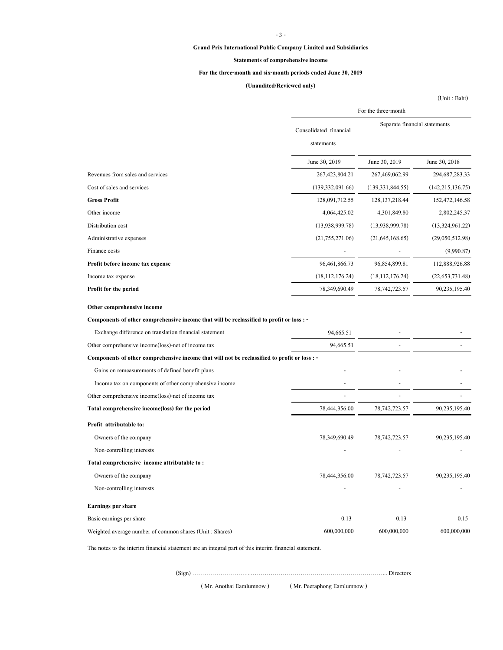#### - 3 -

#### **Grand Prix International Public Company Limited and Subsidiaries**

#### **Statements of comprehensive income**

# **For the three-month and six-month periods ended June 30, 2019**

# **(Unaudited/Reviewed only)**

(Unit : Baht)

|                                                                                              |                                      | For the three-month           |                    |  |  |
|----------------------------------------------------------------------------------------------|--------------------------------------|-------------------------------|--------------------|--|--|
|                                                                                              | Consolidated financial<br>statements | Separate financial statements |                    |  |  |
|                                                                                              | June 30, 2019                        | June 30, 2019                 | June 30, 2018      |  |  |
| Revenues from sales and services                                                             | 267,423,804.21                       | 267,469,062.99                | 294, 687, 283. 33  |  |  |
| Cost of sales and services                                                                   | (139, 332, 091.66)                   | (139, 331, 844.55)            | (142, 215, 136.75) |  |  |
| <b>Gross Profit</b>                                                                          | 128,091,712.55                       | 128, 137, 218. 44             | 152,472,146.58     |  |  |
| Other income                                                                                 | 4,064,425.02                         | 4,301,849.80                  | 2,802,245.37       |  |  |
| Distribution cost                                                                            | (13,938,999.78)                      | (13,938,999.78)               | (13,324,961.22)    |  |  |
| Administrative expenses                                                                      | (21,755,271.06)                      | (21, 645, 168.65)             | (29,050,512.98)    |  |  |
| Finance costs                                                                                |                                      |                               | (9,990.87)         |  |  |
| Profit before income tax expense                                                             | 96,461,866.73                        | 96,854,899.81                 | 112,888,926.88     |  |  |
| Income tax expense                                                                           | (18, 112, 176.24)                    | (18, 112, 176.24)             | (22, 653, 731.48)  |  |  |
| Profit for the period                                                                        | 78,349,690.49                        | 78, 742, 723. 57              | 90,235,195.40      |  |  |
| Other comprehensive income                                                                   |                                      |                               |                    |  |  |
| Components of other comprehensive income that will be reclassified to profit or loss : -     |                                      |                               |                    |  |  |
| Exchange difference on translation financial statement                                       | 94,665.51                            |                               |                    |  |  |
| Other comprehensive income(loss)-net of income tax                                           | 94,665.51                            |                               |                    |  |  |
| Components of other comprehensive income that will not be reclassified to profit or loss : - |                                      |                               |                    |  |  |
| Gains on remeasurements of defined benefit plans                                             |                                      |                               |                    |  |  |
| Income tax on components of other comprehensive income                                       |                                      |                               |                    |  |  |
| Other comprehensive income(loss)-net of income tax                                           |                                      |                               |                    |  |  |
| Total comprehensive income(loss) for the period                                              | 78,444,356.00                        | 78, 742, 723. 57              | 90,235,195.40      |  |  |
| Profit attributable to:                                                                      |                                      |                               |                    |  |  |
| Owners of the company                                                                        | 78,349,690.49                        | 78, 742, 723. 57              | 90,235,195.40      |  |  |
| Non-controlling interests                                                                    |                                      |                               |                    |  |  |
| Total comprehensive income attributable to:                                                  |                                      |                               |                    |  |  |
| Owners of the company                                                                        | 78,444,356.00                        | 78, 742, 723. 57              | 90,235,195.40      |  |  |
| Non-controlling interests                                                                    |                                      |                               |                    |  |  |
| <b>Earnings per share</b>                                                                    |                                      |                               |                    |  |  |
| Basic earnings per share                                                                     | 0.13                                 | 0.13                          | 0.15               |  |  |
| Weighted average number of common shares (Unit: Shares)                                      | 600,000,000                          | 600,000,000                   | 600,000,000        |  |  |

The notes to the interim financial statement are an integral part of this interim financial statement.

(Sign) ………………………...…………………………………………………………... Directors

( Mr. Anothai Eamlumnow ) ( Mr. Peeraphong Eamlumnow )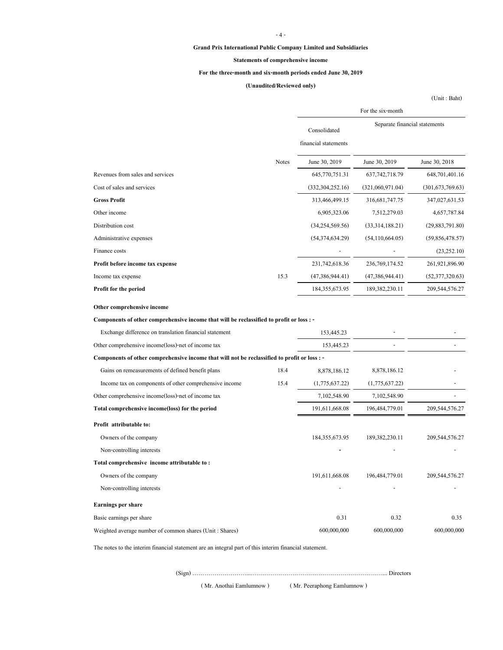#### - 4 -

#### **Grand Prix International Public Company Limited and Subsidiaries**

#### **Statements of comprehensive income**

### **For the three-month and six-month periods ended June 30, 2019**

# **(Unaudited/Reviewed only)**

(Unit : Baht)

|                                                                                              |              | For the six-month                    |                               |                    |  |
|----------------------------------------------------------------------------------------------|--------------|--------------------------------------|-------------------------------|--------------------|--|
|                                                                                              |              | Consolidated<br>financial statements | Separate financial statements |                    |  |
|                                                                                              | <b>Notes</b> | June 30, 2019                        | June 30, 2019                 | June 30, 2018      |  |
| Revenues from sales and services                                                             |              | 645,770,751.31                       | 637, 742, 718. 79             | 648,701,401.16     |  |
| Cost of sales and services                                                                   |              | (332, 304, 252, 16)                  | (321,060,971.04)              | (301, 673, 769.63) |  |
| <b>Gross Profit</b>                                                                          |              | 313,466,499.15                       | 316, 681, 747. 75             | 347,027,631.53     |  |
| Other income                                                                                 |              | 6,905,323.06                         | 7,512,279.03                  | 4,657,787.84       |  |
| Distribution cost                                                                            |              | (34,254,569.56)                      | (33,314,188.21)               | (29,883,791.80)    |  |
| Administrative expenses                                                                      |              | (54,374,634.29)                      | (54, 110, 664.05)             | (59,856,478.57)    |  |
| Finance costs                                                                                |              |                                      |                               | (23, 252.10)       |  |
| Profit before income tax expense                                                             |              | 231,742,618.36                       | 236, 769, 174.52              | 261,921,896.90     |  |
| Income tax expense                                                                           | 15.3         | (47,386,944.41)                      | (47,386,944.41)               | (52,377,320.63)    |  |
| Profit for the period                                                                        |              | 184, 355, 673. 95                    | 189,382,230.11                | 209,544,576.27     |  |
| Other comprehensive income                                                                   |              |                                      |                               |                    |  |
| Components of other comprehensive income that will be reclassified to profit or loss : -     |              |                                      |                               |                    |  |
| Exchange difference on translation financial statement                                       |              | 153,445.23                           |                               |                    |  |
| Other comprehensive income(loss)-net of income tax                                           |              | 153,445.23                           |                               |                    |  |
| Components of other comprehensive income that will not be reclassified to profit or loss : - |              |                                      |                               |                    |  |
| Gains on remeasurements of defined benefit plans                                             | 18.4         | 8,878,186.12                         | 8,878,186.12                  |                    |  |
| Income tax on components of other comprehensive income                                       | 15.4         | (1,775,637.22)                       | (1,775,637.22)                |                    |  |
| Other comprehensive income(loss)-net of income tax                                           |              | 7,102,548.90                         | 7,102,548.90                  |                    |  |
| Total comprehensive income(loss) for the period                                              |              | 191,611,668.08                       | 196,484,779.01                | 209,544,576.27     |  |
| Profit attributable to:                                                                      |              |                                      |                               |                    |  |
| Owners of the company                                                                        |              | 184, 355, 673. 95                    | 189,382,230.11                | 209,544,576.27     |  |
| Non-controlling interests                                                                    |              |                                      |                               |                    |  |
| Total comprehensive income attributable to:                                                  |              |                                      |                               |                    |  |
| Owners of the company                                                                        |              | 191,611,668.08                       | 196,484,779.01                | 209,544,576.27     |  |
| Non-controlling interests                                                                    |              |                                      |                               |                    |  |
| <b>Earnings per share</b>                                                                    |              |                                      |                               |                    |  |
| Basic earnings per share                                                                     |              | 0.31                                 | 0.32                          | 0.35               |  |
| Weighted average number of common shares (Unit: Shares)                                      |              | 600,000,000                          | 600,000,000                   | 600,000,000        |  |

The notes to the interim financial statement are an integral part of this interim financial statement.

(Sign) ………………………...…………………………………………………………... Directors

( Mr. Anothai Eamlumnow ) ( Mr. Peeraphong Eamlumnow )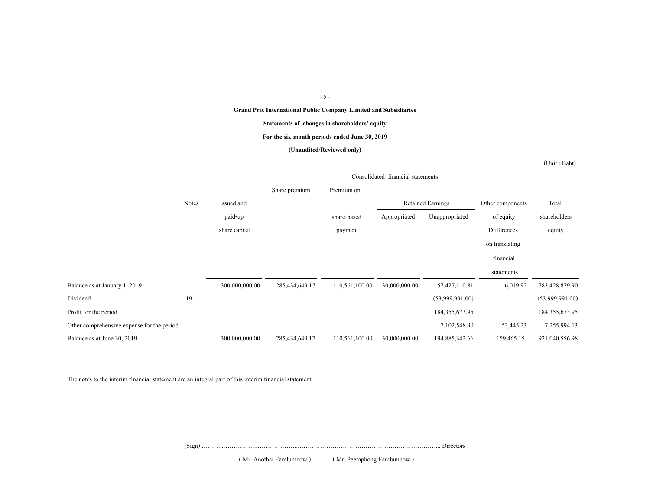### - 5 -

**Grand Prix International Public Company Limited and Subsidiaries**

#### **Statements of changes in shareholders' equity**

#### **For the six-month periods ended June 30, 2019**

#### **(Unaudited/Reviewed only)**

(Unit : Baht)

|                                            |              | Consolidated financial statements |                |                |               |                          |                  |                   |
|--------------------------------------------|--------------|-----------------------------------|----------------|----------------|---------------|--------------------------|------------------|-------------------|
|                                            |              |                                   | Share premium  | Premium on     |               |                          |                  |                   |
|                                            | <b>Notes</b> | Issued and                        |                |                |               | <b>Retained Earnings</b> | Other components | Total             |
|                                            |              | paid-up                           |                | share-based    | Appropriated  | Unappropriated           | of equity        | shareholders      |
|                                            |              | share capital                     |                | payment        |               |                          | Differences      | equity            |
|                                            |              |                                   |                |                |               |                          | on translating   |                   |
|                                            |              |                                   |                |                |               |                          | financial        |                   |
|                                            |              |                                   |                |                |               |                          | statements       |                   |
| Balance as at January 1, 2019              |              | 300,000,000.00                    | 285,434,649.17 | 110,561,100.00 | 30,000,000.00 | 57,427,110.81            | 6,019.92         | 783,428,879.90    |
| Dividend                                   | 19.1         |                                   |                |                |               | (53,999,991.00)          |                  | (53,999,991.00)   |
| Profit for the period                      |              |                                   |                |                |               | 184, 355, 673. 95        |                  | 184, 355, 673. 95 |
| Other comprehensive expense for the period |              |                                   |                |                |               | 7,102,548.90             | 153,445.23       | 7,255,994.13      |
| Balance as at June 30, 2019                |              | 300,000,000.00                    | 285,434,649.17 | 110,561,100.00 | 30,000,000.00 | 194,885,342.66           | 159,465.15       | 921,040,556.98    |

The notes to the interim financial statement are an integral part of this interim financial statement.

(Sign) ………..……………..………………...…………………………………………………………... Directors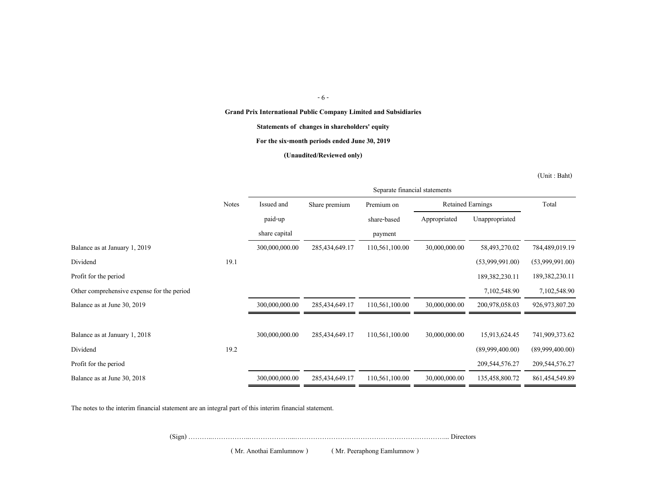#### - 6 -

**Grand Prix International Public Company Limited and Subsidiaries**

**Statements of changes in shareholders' equity**

**For the six-month periods ended June 30, 2019**

**(Unaudited/Reviewed only)**

(Unit : Baht)

|                                            |              | Separate financial statements |                |                |                          |                   |                   |
|--------------------------------------------|--------------|-------------------------------|----------------|----------------|--------------------------|-------------------|-------------------|
|                                            | <b>Notes</b> | Issued and                    | Share premium  | Premium on     | <b>Retained Earnings</b> |                   | Total             |
|                                            |              | paid-up                       |                | share-based    | Appropriated             | Unappropriated    |                   |
|                                            |              | share capital                 |                | payment        |                          |                   |                   |
| Balance as at January 1, 2019              |              | 300,000,000.00                | 285,434,649.17 | 110,561,100.00 | 30,000,000.00            | 58,493,270.02     | 784,489,019.19    |
| Dividend                                   | 19.1         |                               |                |                |                          | (53,999,991.00)   | (53,999,991.00)   |
| Profit for the period                      |              |                               |                |                |                          | 189,382,230.11    | 189,382,230.11    |
| Other comprehensive expense for the period |              |                               |                |                |                          | 7,102,548.90      | 7,102,548.90      |
| Balance as at June 30, 2019                |              | 300,000,000.00                | 285,434,649.17 | 110,561,100.00 | 30,000,000.00            | 200,978,058.03    | 926, 973, 807. 20 |
|                                            |              |                               |                |                |                          |                   |                   |
| Balance as at January 1, 2018              |              | 300,000,000.00                | 285,434,649.17 | 110,561,100.00 | 30,000,000.00            | 15,913,624.45     | 741,909,373.62    |
| Dividend                                   | 19.2         |                               |                |                |                          | (89,999,400.00)   | (89,999,400.00)   |
| Profit for the period                      |              |                               |                |                |                          | 209, 544, 576. 27 | 209,544,576.27    |
| Balance as at June 30, 2018                |              | 300,000,000.00                | 285,434,649.17 | 110,561,100.00 | 30,000,000.00            | 135,458,800.72    | 861, 454, 549.89  |

The notes to the interim financial statement are an integral part of this interim financial statement.

(Sign) ………..……………..………………...…………………………………………………………... Directors

( Mr. Anothai Eamlumnow ) ( Mr. Peeraphong Eamlumnow )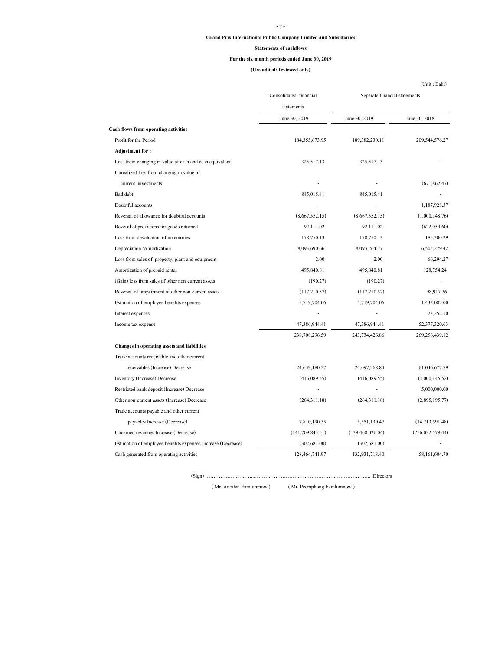### - 7 -

# **Grand Prix International Public Company Limited and Subsidiaries**

#### **Statements of cashflows**

### **For the six-month periods ended June 30, 2019**

# **(Unaudited/Reviewed only)**

|                                                              | Consolidated financial | Separate financial statements |                    |  |
|--------------------------------------------------------------|------------------------|-------------------------------|--------------------|--|
|                                                              | statements             |                               |                    |  |
|                                                              | June 30, 2019          | June 30, 2019                 | June 30, 2018      |  |
| <b>Cash flows from operating activities</b>                  |                        |                               |                    |  |
| Profit for the Period                                        | 184, 355, 673. 95      | 189,382,230.11                | 209,544,576.27     |  |
| <b>Adjustment for:</b>                                       |                        |                               |                    |  |
| Loss from changing in value of cash and cash equivalents     | 325,517.13             | 325,517.13                    |                    |  |
| Unrealized loss from charging in value of                    |                        |                               |                    |  |
| current investments                                          |                        |                               | (671, 862.47)      |  |
| Bad debt                                                     | 845,015.41             | 845,015.41                    |                    |  |
| Doubtful accounts                                            |                        |                               | 1,187,928.37       |  |
| Reversal of allowance for doubtful accounts                  | (8,667,552.15)         | (8,667,552.15)                | (1,000,348.76)     |  |
| Revesal of provisions for goods returned                     | 92,111.02              | 92,111.02                     | (622, 054.60)      |  |
| Loss from devaluation of inventories                         | 178,750.13             | 178,750.13                    | 185,300.29         |  |
| Depreciation /Amortization                                   | 8,093,690.66           | 8,093,264.77                  | 6,505,279.42       |  |
| Loss from sales of property, plant and equipment             | 2.00                   | 2.00                          | 66,294.27          |  |
| Amortization of prepaid rental                               | 495,840.81             | 495,840.81                    | 128,754.24         |  |
| (Gain) loss from sales of other non-current assets           | (190.27)               | (190.27)                      |                    |  |
| Reversal of impairment of other non-current assets           | (117,210.57)           | (117,210.57)                  | 98,917.36          |  |
| Estimation of employee benefits expenses                     | 5,719,704.06           | 5,719,704.06                  | 1,433,082.00       |  |
| Interest expenses                                            |                        |                               | 23,252.10          |  |
| Income tax expense                                           | 47,386,944.41          | 47,386,944.41                 | 52,377,320.63      |  |
|                                                              | 238,708,296.59         | 243,734,426.86                | 269,256,439.12     |  |
| Changes in operating assets and liabilities                  |                        |                               |                    |  |
| Trade accounts receivable and other current                  |                        |                               |                    |  |
| receivables (Increase) Decrease                              | 24,639,180.27          | 24,097,268.84                 | 61,046,677.79      |  |
| Inventory (Increase) Decrease                                | (416,089.55)           | (416,089.55)                  | (4,000,145.52)     |  |
| Restricted bank deposit (Increase) Decrease                  |                        |                               | 5,000,000.00       |  |
| Other non-current assets (Increase) Decrease                 | (264,311.18)           | (264,311.18)                  | (2,895,195.77)     |  |
| Trade accounts payable and other current                     |                        |                               |                    |  |
| payables Increase (Decrease)                                 | 7,810,190.35           | 5,551,130.47                  | (14,213,591.48)    |  |
| Unearned revenues Increase (Decrease)                        | (141, 709, 843.51)     | (139, 468, 026.04)            | (256, 032, 579.44) |  |
| Estimation of employee benefits expenses Increase (Decrease) | (302, 681.00)          | (302, 681.00)                 |                    |  |
| Cash generated from operating activities                     | 128,464,741.97         | 132,931,718.40                | 58,161,604.70      |  |

( Mr. Anothai Eamlumnow ) ( Mr. Peeraphong Eamlumnow )

(Sign) ………………………...…………………………………………………………... Directors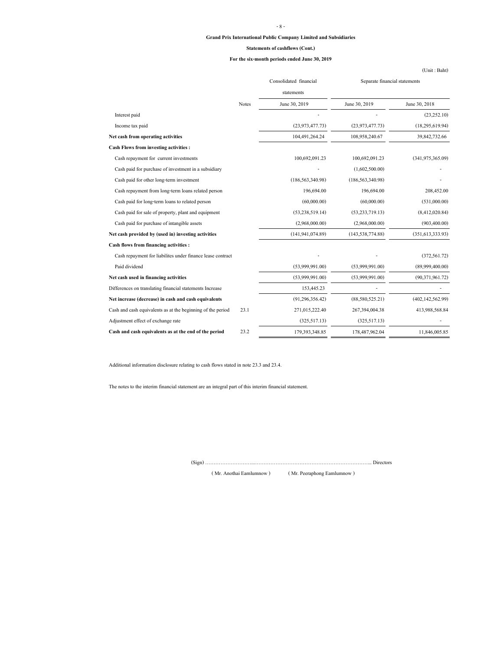# **Grand Prix International Public Company Limited and Subsidiaries** - 8 -

#### **Statements of cashflows (Cont.)**

#### **For the six-month periods ended June 30, 2019**

|                                                             |       |                        | $($ Oni $\mathfrak{g}$ : Ban $\mathfrak{g}$ |                     |  |
|-------------------------------------------------------------|-------|------------------------|---------------------------------------------|---------------------|--|
|                                                             |       | Consolidated financial | Separate financial statements               |                     |  |
|                                                             |       | statements             |                                             |                     |  |
|                                                             | Notes | June 30, 2019          | June 30, 2019                               | June 30, 2018       |  |
| Interest paid                                               |       |                        |                                             | (23, 252.10)        |  |
| Income tax paid                                             |       | (23, 973, 477, 73)     | (23, 973, 477.73)                           | (18, 295, 619.94)   |  |
| Net cash from operating activities                          |       | 104,491,264.24         | 108,958,240.67                              | 39,842,732.66       |  |
| <b>Cash Flows from investing activities:</b>                |       |                        |                                             |                     |  |
| Cash repayment for current investments                      |       | 100,692,091.23         | 100,692,091.23                              | (341.975.365.09)    |  |
| Cash paid for purchase of investment in a subsidiary        |       |                        | (1,602,500.00)                              |                     |  |
| Cash paid for other long-term investment                    |       | (186, 563, 340.98)     | (186, 563, 340.98)                          |                     |  |
| Cash repayment from long-term loans related person          |       | 196,694.00             | 196,694.00                                  | 208,452.00          |  |
| Cash paid for long-term loans to related person             |       | (60,000,00)            | (60,000.00)                                 | (531,000.00)        |  |
| Cash paid for sale of property, plant and equipment         |       | (53, 238, 519, 14)     | (53, 233, 719, 13)                          | (8,412,020.84)      |  |
| Cash paid for purchase of intangible assets                 |       | (2,968,000.00)         | (2,968,000,00)                              | (903, 400.00)       |  |
| Net cash provided by (used in) investing activities         |       | (141, 941, 074.89)     | (143, 538, 774.88)                          | (351, 613, 333, 93) |  |
| Cash flows from financing activities:                       |       |                        |                                             |                     |  |
| Cash repayment for liabilites under finance lease contract  |       |                        |                                             | (372, 561.72)       |  |
| Paid dividend                                               |       | (53,999,991,00)        | (53,999,991.00)                             | (89,999,400.00)     |  |
| Net cash used in financing activities                       |       | (53,999,991,00)        | (53.999.991.00)                             | (90,371,961,72)     |  |
| Differences on translating financial statements Increase    |       | 153,445.23             |                                             |                     |  |
| Net increase (decrease) in cash and cash equivalents        |       | (91, 296, 356, 42)     | (88,580,525.21)                             | (402, 142, 562.99)  |  |
| Cash and cash equivalents as at the beginning of the period | 23.1  | 271,015,222.40         | 267,394,004.38                              | 413,988,568.84      |  |
| Adjustment effect of exchange rate                          |       | (325,517,13)           | (325,517,13)                                |                     |  |
| Cash and cash equivalents as at the end of the period       | 23.2  | 179,393,348.85         | 178,487,962.04                              | 11,846,005.85       |  |

Additional information disclosure relating to cash flows stated in note 23.3 and 23.4.

The notes to the interim financial statement are an integral part of this interim financial statement.

(Sign) ………………………...…………………………………………………………... Directors

( Mr. Anothai Eamlumnow ) ( Mr. Peeraphong Eamlumnow )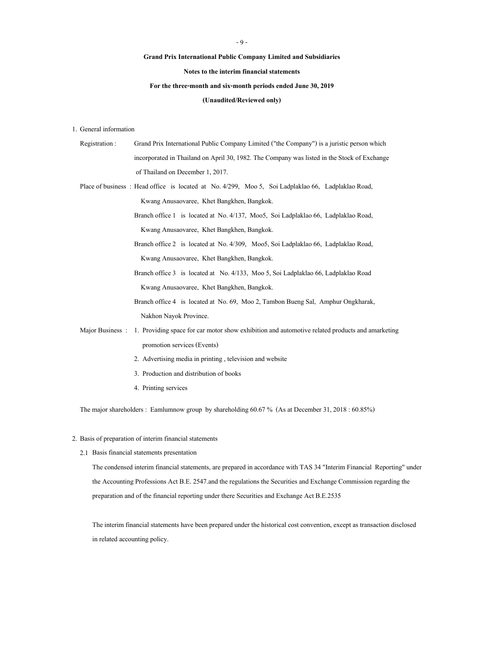## **Grand Prix International Public Company Limited and Subsidiaries**

**Notes to the interim financial statements**

# **For the three-month and six-month periods ended June 30, 2019**

## **(Unaudited/Reviewed only)**

### 1. General information

| Registration:   | Grand Prix International Public Company Limited ("the Company") is a juristic person which         |  |  |  |  |
|-----------------|----------------------------------------------------------------------------------------------------|--|--|--|--|
|                 | incorporated in Thailand on April 30, 1982. The Company was listed in the Stock of Exchange        |  |  |  |  |
|                 | of Thailand on December 1, 2017.                                                                   |  |  |  |  |
|                 | Place of business: Head office is located at No. 4/299, Moo 5, Soi Ladplaklao 66, Ladplaklao Road, |  |  |  |  |
|                 | Kwang Anusaovaree, Khet Bangkhen, Bangkok.                                                         |  |  |  |  |
|                 | Branch office 1 is located at No. 4/137, Moo5, Soi Ladplaklao 66, Ladplaklao Road,                 |  |  |  |  |
|                 | Kwang Anusaovaree, Khet Bangkhen, Bangkok.                                                         |  |  |  |  |
|                 | Branch office 2 is located at No. 4/309, Moo5, Soi Ladplaklao 66, Ladplaklao Road,                 |  |  |  |  |
|                 | Kwang Anusaovaree, Khet Bangkhen, Bangkok.                                                         |  |  |  |  |
|                 | Branch office 3 is located at No. 4/133, Moo 5, Soi Ladplaklao 66, Ladplaklao Road                 |  |  |  |  |
|                 | Kwang Anusaovaree, Khet Bangkhen, Bangkok.                                                         |  |  |  |  |
|                 | Branch office 4 is located at No. 69, Moo 2, Tambon Bueng Sal, Amphur Ongkharak,                   |  |  |  |  |
|                 | Nakhon Nayok Province.                                                                             |  |  |  |  |
| Major Business: | 1. Providing space for car motor show exhibition and automotive related products and amarketing    |  |  |  |  |
|                 | promotion services (Events)                                                                        |  |  |  |  |
|                 | 2. Advertising media in printing, television and website                                           |  |  |  |  |
|                 |                                                                                                    |  |  |  |  |

- 3. Production and distribution of books
- 4. Printing services

The major shareholders : Eamlumnow group by shareholding 60.67 % (As at December 31, 2018 : 60.85%)

# 2. Basis of preparation of interim financial statements

2.1 Basis financial statements presentation

The condensed interim financial statements, are prepared in accordance with TAS 34 "Interim Financial Reporting" under the Accounting Professions Act B.E. 2547.and the regulations the Securities and Exchange Commission regarding the preparation and of the financial reporting under there Securities and Exchange Act B.E.2535

The interim financial statements have been prepared under the historical cost convention, except as transaction disclosed in related accounting policy.

#### - 9 -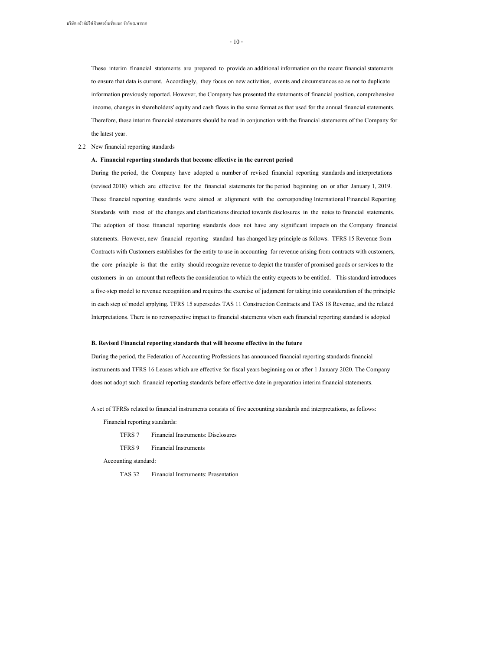- 10 -

These interim financial statements are prepared to provide an additional information on the recent financial statements to ensure that data is current. Accordingly, they focus on new activities, events and circumstances so as not to duplicate information previously reported. However, the Company has presented the statements of financial position, comprehensive income, changes in shareholders' equity and cash flows in the same format as that used for the annual financial statements. Therefore, these interim financial statements should be read in conjunction with the financial statements of the Company for the latest year.

#### 2.2 New financial reporting standards

#### **A. Financial reporting standards that become effective in the current period**

During the period, the Company have adopted a number of revised financial reporting standards and interpretations (revised 2018) which are effective for the financial statements for the period beginning on or after January 1, 2019. These financial reporting standards were aimed at alignment with the corresponding International Financial Reporting Standards with most of the changes and clarifications directed towards disclosures in the notes to financial statements. The adoption of those financial reporting standards does not have any significant impacts on the Company financial statements. However, new financial reporting standard has changed key principle as follows. TFRS 15 Revenue from Contracts with Customers establishes for the entity to use in accounting for revenue arising from contracts with customers, the core principle is that the entity should recognize revenue to depict the transfer of promised goods or services to the customers in an amount that reflects the consideration to which the entity expects to be entitled. This standard introduces a five-step model to revenue recognition and requires the exercise of judgment for taking into consideration of the principle in each step of model applying. TFRS 15 supersedes TAS 11 Construction Contracts and TAS 18 Revenue, and the related Interpretations. There is no retrospective impact to financial statements when such financial reporting standard is adopted

#### **B. Revised Financial reporting standards that will become effective in the future**

During the period, the Federation of Accounting Professions has announced financial reporting standards financial instruments and TFRS 16 Leases which are effective for fiscal years beginning on or after 1 January 2020. The Company does not adopt such financial reporting standards before effective date in preparation interim financial statements.

A set of TFRSs related to financial instruments consists of five accounting standards and interpretations, as follows:

Financial reporting standards:

- TFRS 7 Financial Instruments: Disclosures
- TFRS 9 Financial Instruments

Accounting standard:

TAS 32 Financial Instruments: Presentation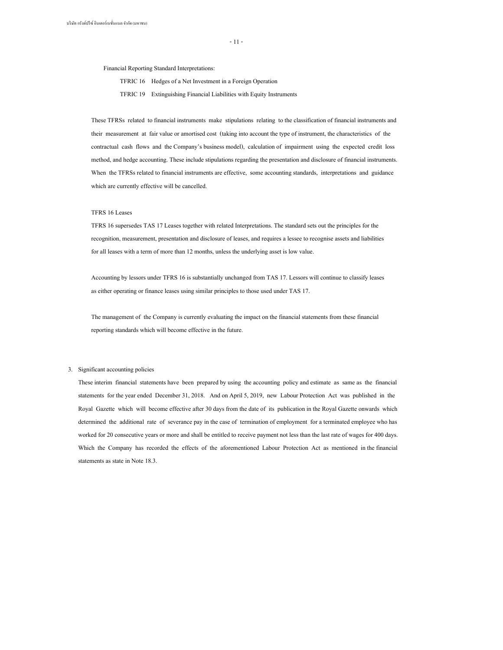- 11 -

Financial Reporting Standard Interpretations:

TFRIC 16 Hedges of a Net Investment in a Foreign Operation

TFRIC 19 Extinguishing Financial Liabilities with Equity Instruments

These TFRSs related to financial instruments make stipulations relating to the classification of financial instruments and their measurement at fair value or amortised cost (taking into account the type of instrument, the characteristics of the contractual cash flows and the Company's business model), calculation of impairment using the expected credit loss method, and hedge accounting. These include stipulations regarding the presentation and disclosure of financial instruments. When the TFRSs related to financial instruments are effective, some accounting standards, interpretations and guidance which are currently effective will be cancelled.

#### TFRS 16 Leases

TFRS 16 supersedes TAS 17 Leases together with related Interpretations. The standard sets out the principles for the recognition, measurement, presentation and disclosure of leases, and requires a lessee to recognise assets and liabilities for all leases with a term of more than 12 months, unless the underlying asset is low value.

Accounting by lessors under TFRS 16 is substantially unchanged from TAS 17. Lessors will continue to classify leases as either operating or finance leases using similar principles to those used under TAS 17.

The management of the Company is currently evaluating the impact on the financial statements from these financial reporting standards which will become effective in the future.

#### 3. Significant accounting policies

These interim financial statements have been prepared by using the accounting policy and estimate as same as the financial statements for the year ended December 31, 2018. And on April 5, 2019, new Labour Protection Act was published in the Royal Gazette which will become effective after 30 days from the date of its publication in the Royal Gazette onwards which determined the additional rate of severance pay in the case of termination of employment for a terminated employee who has worked for 20 consecutive years or more and shall be entitled to receive payment not less than the last rate of wages for 400 days. Which the Company has recorded the effects of the aforementioned Labour Protection Act as mentioned in the financial statements as state in Note 18.3.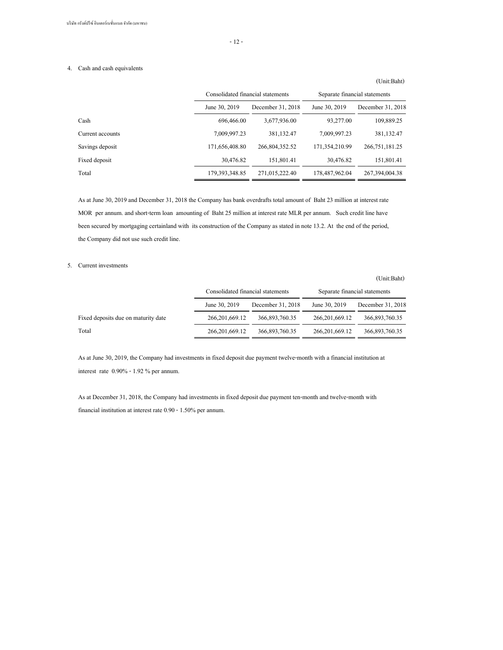#### 4. Cash and cash equivalents

# June 30, 2019 December 31, 2018 June 30, 2019 December 31, 2018 Cash 696,466.00 3,677,936.00 93,277.00 109,889.25 Current accounts 7,009,997.23 381,132.47 7,009,997.23 381,132.47 Savings deposit 171,656,408.80 266,804,352.52 171,354,210.99 266,751,181.25 Fixed deposit 30,476.82 151,801.41 30,476.82 151,801.41 Total 179,393,348.85 271,015,222.40 178,487,962.04 267,394,004.38 Consolidated financial statements Separate financial statements

As at June 30, 2019 and December 31, 2018 the Company has bank overdrafts total amount of Baht 23 million at interest rate MOR per annum. and short-term loan amounting of Baht 25 million at interest rate MLR per annum. Such credit line have been secured by mortgaging certainland with its construction of the Company as stated in note 13.2. At the end of the period, the Company did not use such credit line.

#### 5. Current investments

(Unit:Baht)

|                                     | Consolidated financial statements |                   | Separate financial statements |                   |  |
|-------------------------------------|-----------------------------------|-------------------|-------------------------------|-------------------|--|
|                                     | June 30, 2019                     | December 31, 2018 | June 30, 2019                 | December 31, 2018 |  |
| Fixed deposits due on maturity date | 266, 201, 669, 12                 | 366,893,760.35    | 266, 201, 669, 12             | 366,893,760.35    |  |
| Total                               | 266, 201, 669, 12                 | 366,893,760.35    | 266, 201, 669, 12             | 366,893,760.35    |  |

As at June 30, 2019, the Company had investments in fixed deposit due payment twelve-month with a financial institution at interest rate 0.90% - 1.92 % per annum.

As at December 31, 2018, the Company had investments in fixed deposit due payment ten-month and twelve-month with financial institution at interest rate 0.90 - 1.50% per annum.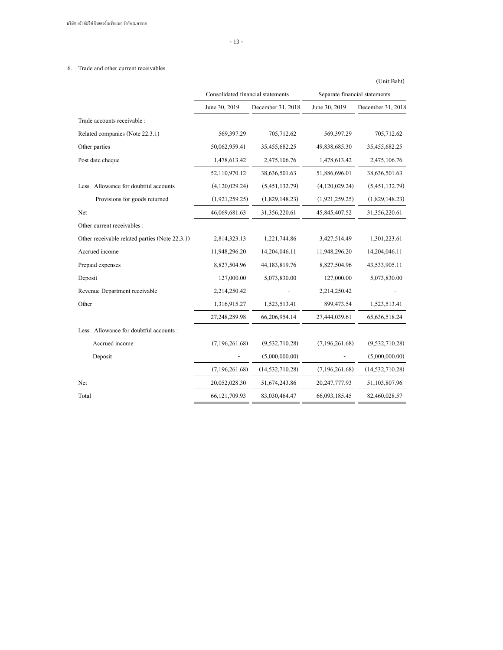บริษัท กรังด์ปรีซ์ อินเตอร์เนชั่นแนล จำกัด (มหาชน)

- 13 -

# 6. Trade and other current receivables

|                                                |                                   |                   |                               | (Unit:Baht)        |
|------------------------------------------------|-----------------------------------|-------------------|-------------------------------|--------------------|
|                                                | Consolidated financial statements |                   | Separate financial statements |                    |
|                                                | June 30, 2019                     | December 31, 2018 | June 30, 2019                 | December 31, 2018  |
| Trade accounts receivable :                    |                                   |                   |                               |                    |
| Related companies (Note 22.3.1)                | 569,397.29                        | 705,712.62        | 569,397.29                    | 705,712.62         |
| Other parties                                  | 50,062,959.41                     | 35,455,682.25     | 49,838,685.30                 | 35,455,682.25      |
| Post date cheque                               | 1,478,613.42                      | 2,475,106.76      | 1,478,613.42                  | 2,475,106.76       |
|                                                | 52,110,970.12                     | 38,636,501.63     | 51,886,696.01                 | 38,636,501.63      |
| Allowance for doubtful accounts<br>Less        | (4,120,029.24)                    | (5,451,132.79)    | (4,120,029.24)                | (5,451,132.79)     |
| Provisions for goods returned                  | (1,921,259.25)                    | (1,829,148.23)    | (1,921,259.25)                | (1,829,148.23)     |
| Net                                            | 46,069,681.63                     | 31,356,220.61     | 45,845,407.52                 | 31,356,220.61      |
| Other current receivables :                    |                                   |                   |                               |                    |
| Other receivable related parties (Note 22.3.1) | 2,814,323.13                      | 1,221,744.86      | 3,427,514.49                  | 1,301,223.61       |
| Accrued income                                 | 11,948,296.20                     | 14,204,046.11     | 11,948,296.20                 | 14,204,046.11      |
| Prepaid expenses                               | 8,827,504.96                      | 44,183,819.76     | 8,827,504.96                  | 43,533,905.11      |
| Deposit                                        | 127,000.00                        | 5,073,830.00      | 127,000.00                    | 5,073,830.00       |
| Revenue Department receivable                  | 2,214,250.42                      |                   | 2,214,250.42                  |                    |
| Other                                          | 1,316,915.27                      | 1,523,513.41      | 899,473.54                    | 1,523,513.41       |
|                                                | 27,248,289.98                     | 66,206,954.14     | 27,444,039.61                 | 65, 636, 518.24    |
| Less Allowance for doubtful accounts :         |                                   |                   |                               |                    |
| Accrued income                                 | (7,196,261.68)                    | (9,532,710.28)    | (7,196,261.68)                | (9,532,710.28)     |
| Deposit                                        |                                   | (5,000,000.00)    |                               | (5,000,000.00)     |
|                                                | (7,196,261.68)                    | (14, 532, 710.28) | (7,196,261.68)                | (14, 532, 710, 28) |
| Net                                            | 20,052,028.30                     | 51,674,243.86     | 20, 247, 777. 93              | 51,103,807.96      |
| Total                                          | 66,121,709.93                     | 83,030,464.47     | 66,093,185.45                 | 82,460,028.57      |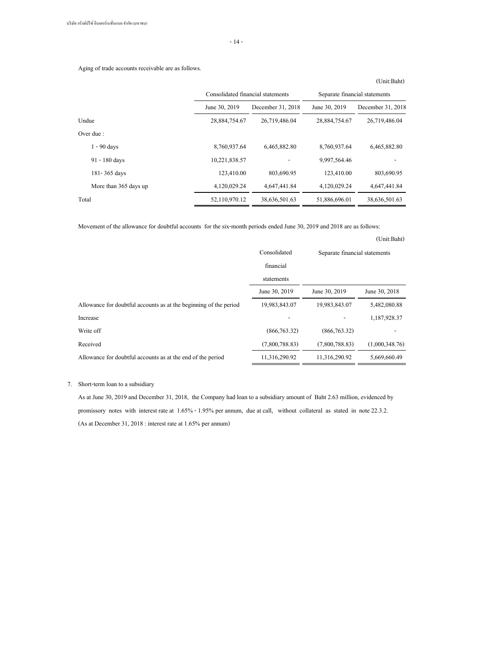- 14 -

Aging of trade accounts receivable are as follows.

|                       | Consolidated financial statements                                    |               | Separate financial statements |                   |  |
|-----------------------|----------------------------------------------------------------------|---------------|-------------------------------|-------------------|--|
|                       | June 30, 2019<br>December 31, 2018<br>28,884,754.67<br>26,719,486.04 |               | June 30, 2019                 | December 31, 2018 |  |
| Undue                 |                                                                      |               | 28,884,754.67                 | 26,719,486.04     |  |
| Over due :            |                                                                      |               |                               |                   |  |
| $1 - 90$ days         | 8,760,937.64                                                         | 6,465,882.80  | 8,760,937.64                  | 6,465,882.80      |  |
| 91 - 180 days         | 10,221,838.57                                                        |               | 9,997,564.46                  |                   |  |
| 181-365 days          | 123,410.00                                                           | 803,690.95    | 123,410.00                    | 803,690.95        |  |
| More than 365 days up | 4,120,029.24                                                         | 4,647,441.84  | 4,120,029.24                  | 4,647,441.84      |  |
| Total                 | 52,110,970.12                                                        | 38,636,501.63 | 51,886,696.01                 | 38,636,501.63     |  |

Movement of the allowance for doubtful accounts for the six-month periods ended June 30, 2019 and 2018 are as follows:

# (Unit:Baht)

|                                                                   | Consolidated<br>financial | Separate financial statements |                |
|-------------------------------------------------------------------|---------------------------|-------------------------------|----------------|
|                                                                   | statements                |                               |                |
|                                                                   | June 30, 2019             | June 30, 2019                 | June 30, 2018  |
| Allowance for doubtful accounts as at the beginning of the period | 19,983,843.07             | 19,983,843.07                 | 5,482,080.88   |
| Increase                                                          |                           |                               | 1,187,928.37   |
| Write off                                                         | (866, 763.32)             | (866, 763.32)                 |                |
| Received                                                          | (7,800,788.83)            | (7,800,788.83)                | (1,000,348.76) |
| Allowance for doubtful accounts as at the end of the period       | 11,316,290.92             | 11,316,290.92                 | 5,669,660.49   |

## 7. Short-term loan to a subsidiary

As at June 30, 2019 and December 31, 2018, the Company had loan to a subsidiary amount of Baht 2.63 million, evidenced by promissory notes with interest rate at 1.65% - 1.95% per annum, due at call, without collateral as stated in note 22.3.2. (As at December 31, 2018 : interest rate at 1.65% per annum)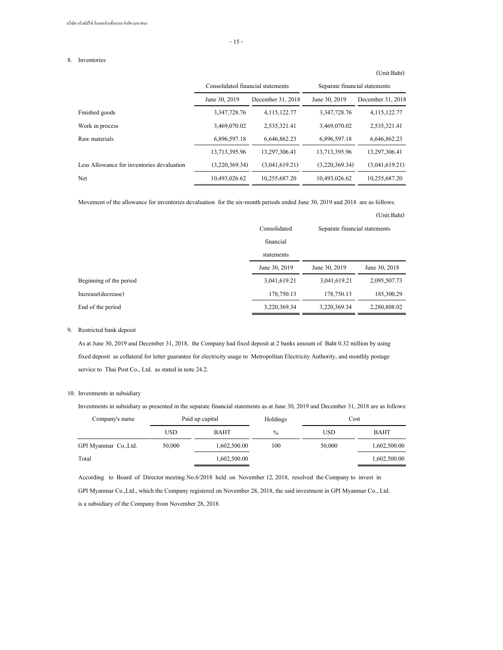- 15 -

#### 8. Inventories

|                                            | Consolidated financial statements |                   | Separate financial statements |                   |
|--------------------------------------------|-----------------------------------|-------------------|-------------------------------|-------------------|
|                                            | June 30, 2019                     | December 31, 2018 | June 30, 2019                 | December 31, 2018 |
| Finished goods                             | 3,347,728.76                      | 4,115,122.77      | 3,347,728.76                  | 4, 115, 122, 77   |
| Work in process                            | 3,469,070.02                      | 2,535,321.41      | 3,469,070.02                  | 2,535,321.41      |
| Raw materials                              | 6,896,597.18                      | 6,646,862.23      | 6,896,597.18                  | 6,646,862.23      |
|                                            | 13,713,395.96                     | 13,297,306.41     | 13,713,395.96                 | 13,297,306.41     |
| Less Allowance for inventories devaluation | (3,220,369,34)                    | (3,041,619,21)    | (3,220,369,34)                | (3,041,619,21)    |
| Net                                        | 10,493,026.62                     | 10,255,687.20     | 10,493,026.62                 | 10,255,687.20     |

Movement of the allowance for inventories devaluation for the six-month periods ended June 30, 2019 and 2018 are as follows:

(Unit:Baht)

(Unit:Baht)

|                         | Consolidated  | Separate financial statements |               |
|-------------------------|---------------|-------------------------------|---------------|
|                         | financial     |                               |               |
|                         | statements    |                               |               |
|                         | June 30, 2019 | June 30, 2019                 | June 30, 2018 |
| Beginning of the period | 3,041,619.21  | 3,041,619.21                  | 2,095,507.73  |
| Increase(decrease)      | 178,750.13    | 178,750.13                    | 185,300.29    |
| End of the period       | 3,220,369.34  | 3,220,369.34                  | 2,280,808.02  |

# 9. Restricted bank deposit

As at June 30, 2019 and December 31, 2018, the Company had fixed deposit at 2 banks amount of Baht 0.32 million by using fixed deposit as collateral for letter guarantee for electricity usage to Metropolitan Electricity Authority, and monthly postage service to Thai Post Co., Ltd. as stated in note 24.2.

#### 10. Investments in subsidiary

Investments in subsidiary as presented in the separate financial statements as at June 30, 2019 and December 31, 2018 are as follows:

| Company's name        |            | Paid up capital | Holdings      | Cost       |              |
|-----------------------|------------|-----------------|---------------|------------|--------------|
|                       | <b>USD</b> | <b>BAHT</b>     | $\frac{0}{0}$ | <b>USD</b> | <b>BAHT</b>  |
| GPI Myanmar Co., Ltd. | 50,000     | 1,602,500.00    | 100           | 50,000     | 1,602,500.00 |
| Total                 |            | 1,602,500.00    |               |            | 1,602,500.00 |

According to Board of Director meeting No.6/2018 held on November 12, 2018, resolved the Company to invest in

GPI Myanmar Co.,Ltd., which the Company registered on November 28, 2018, the said investment in GPI Myanmar Co., Ltd. is a subsidiary of the Company from November 28, 2018.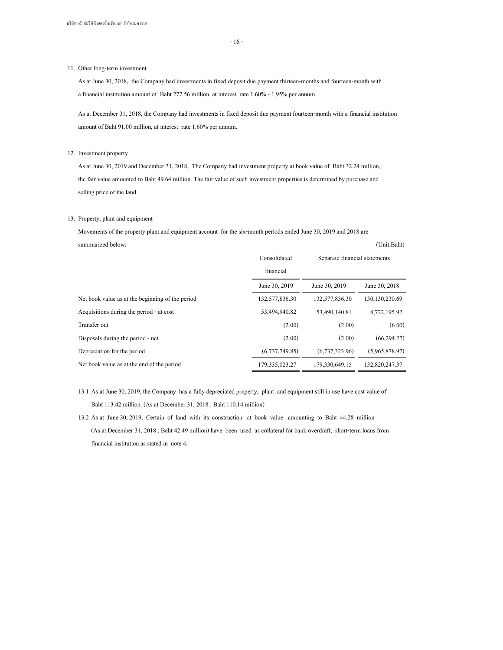- 16 -

#### 11. Other long-term investment

As at June 30, 2018, the Company had investments in fixed deposit due payment thirteen-months and fourteen-month with a financial institution amount of Baht 277.56 million, at interest rate 1.60% - 1.95% per annum.

As at December 31, 2018, the Company had investments in fixed deposit due payment fourteen-month with a financial institution amount of Baht 91.00 million, at interest rate 1.60% per annum.

#### 12. Investment property

As at June 30, 2019 and December 31, 2018, The Company had investment property at book value of Baht 32.24 million, the fair value amounted to Baht 49.64 million. The fair value of such investment properties is determined by purchase and selling price of the land.

#### 13. Property, plant and equipment

Movements of the property plant and equipment account for the six-month periods ended June 30, 2019 and 2018 are summarized below: (Unit:Baht)

|                                                  | Consolidated      | Separate financial statements |                  |
|--------------------------------------------------|-------------------|-------------------------------|------------------|
|                                                  | financial         |                               |                  |
|                                                  | June 30, 2019     | June 30, 2019                 | June 30, 2018    |
| Net book value as at the beginning of the period | 132,577,836.30    | 132,577,836.30                | 130, 130, 230.69 |
| Acquisitions during the period - at cost         | 53,494,940.82     | 53,490,140.81                 | 8,722,195.92     |
| Transfer out                                     | (2.00)            | (2.00)                        | (6.00)           |
| Disposals during the period - net                | (2.00)            | (2.00)                        | (66, 294, 27)    |
| Depreciation for the period                      | (6,737,749.85)    | (6,737,323.96)                | (5,965,878.97)   |
| Net book value as at the end of the period       | 179, 335, 023, 27 | 179,330,649.15                | 132,820,247.37   |

13.1 As at June 30, 2019, the Company has a fully depreciated property, plant and equipment still in use have cost value of Baht 113.42 million. (As at December 31, 2018 : Baht 110.14 million)

13.2 As at June 30, 2019, Certain of land with its construction at book value amounting to Baht 44.28 million (As at December 31, 2018 : Baht 42.49 million) have been used as collateral for bank overdraft, short-term loans from financial institution as stated in note 4.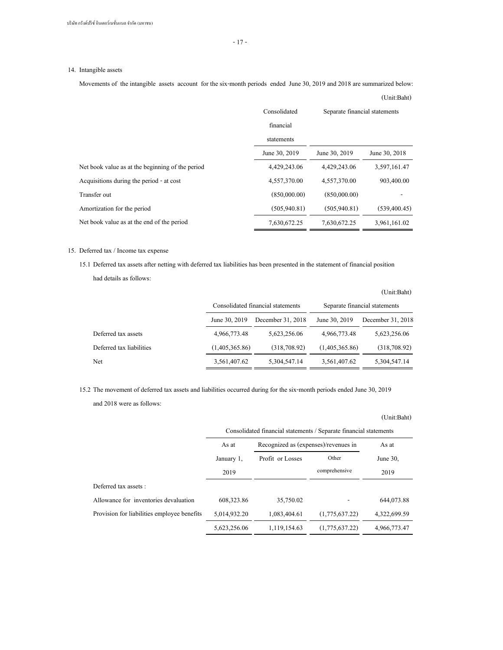# 14. Intangible assets

Movements of the intangible assets account for the six-month periods ended June 30, 2019 and 2018 are summarized below: (Unit:Baht)

|                                                  | Consolidated<br>financial<br>statements | Separate financial statements |                |
|--------------------------------------------------|-----------------------------------------|-------------------------------|----------------|
|                                                  | June 30, 2019                           | June 30, 2019                 | June 30, 2018  |
| Net book value as at the beginning of the period | 4,429,243.06                            | 4,429,243.06                  | 3,597,161,47   |
| Acquisitions during the period - at cost         | 4,557,370.00                            | 4,557,370.00                  | 903,400.00     |
| Transfer out                                     | (850,000,00)                            | (850,000,00)                  |                |
| Amortization for the period                      | (505, 940, 81)                          | (505, 940, 81)                | (539, 400, 45) |
| Net book value as at the end of the period       | 7,630,672.25                            | 7,630,672.25                  | 3,961,161.02   |

#### 15. Deferred tax / Income tax expense

15.1 Deferred tax assets after netting with deferred tax liabilities has been presented in the statement of financial position had details as follows:

|                          |                | Consolidated financial statements |                | Separate financial statements |
|--------------------------|----------------|-----------------------------------|----------------|-------------------------------|
|                          | June 30, 2019  | December 31, 2018                 | June 30, 2019  | December 31, 2018             |
| Deferred tax assets      | 4,966,773.48   | 5,623,256.06                      | 4,966,773.48   | 5,623,256.06                  |
| Deferred tax liabilities | (1,405,365,86) | (318,708,92)                      | (1,405,365,86) | (318,708,92)                  |
| Net                      | 3,561,407.62   | 5,304,547.14                      | 3,561,407.62   | 5,304,547.14                  |

15.2 The movement of deferred tax assets and liabilities occurred during for the six-month periods ended June 30, 2019 and 2018 were as follows:

# (Unit:Baht)

|                                             | Consolidated financial statements / Separate financial statements |                                      |                |              |
|---------------------------------------------|-------------------------------------------------------------------|--------------------------------------|----------------|--------------|
|                                             | As at                                                             | Recognized as (expenses)/revenues in |                | As at        |
|                                             | January 1.                                                        | Profit or Losses                     | Other          | June $30$ .  |
|                                             | 2019                                                              |                                      | comprehensive  | 2019         |
| Deferred tax assets :                       |                                                                   |                                      |                |              |
| Allowance for inventories devaluation       | 608, 323.86                                                       | 35,750.02                            |                | 644,073.88   |
| Provision for liabilities employee benefits | 5,014,932,20                                                      | 1,083,404.61                         | (1,775,637,22) | 4,322,699.59 |
|                                             | 5,623,256.06                                                      | 1,119,154.63                         | (1,775,637,22) | 4,966,773,47 |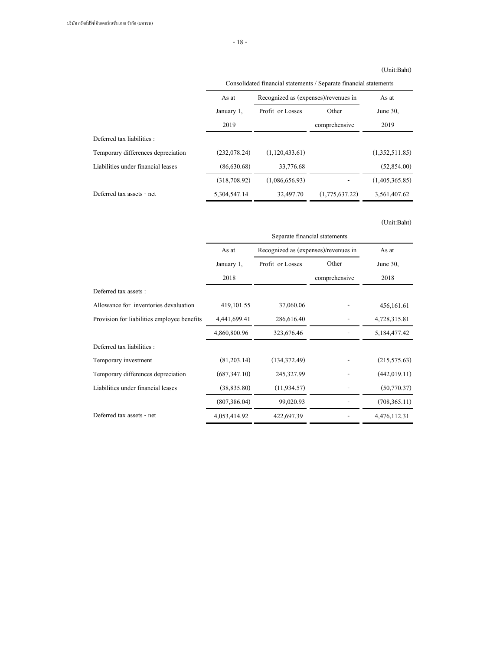# (Unit:Baht)

|                                    |              | Consolidated financial statements / Separate financial statements |                |                   |  |
|------------------------------------|--------------|-------------------------------------------------------------------|----------------|-------------------|--|
|                                    | As at        | Recognized as (expenses)/revenues in                              |                | As at<br>June 30, |  |
|                                    | January 1,   | Profit or Losses                                                  | Other          |                   |  |
|                                    | 2019         |                                                                   | comprehensive  | 2019              |  |
| Deferred tax liabilities :         |              |                                                                   |                |                   |  |
| Temporary differences depreciation | (232,078,24) | (1,120,433,61)                                                    |                | (1,352,511,85)    |  |
| Liabilities under financial leases | (86,630,68)  | 33,776.68                                                         |                | (52,854,00)       |  |
|                                    | (318,708,92) | (1,086,656,93)                                                    |                | (1,405,365,85)    |  |
| Deferred tax assets - net          | 5,304,547.14 | 32,497.70                                                         | (1,775,637,22) | 3,561,407.62      |  |
|                                    |              |                                                                   |                |                   |  |

|                                             | Separate financial statements |                                      |               |                |
|---------------------------------------------|-------------------------------|--------------------------------------|---------------|----------------|
|                                             | As at                         | Recognized as (expenses)/revenues in |               | As at          |
|                                             | January 1,                    | Profit or Losses                     | Other         | June 30,       |
|                                             | 2018                          |                                      | comprehensive | 2018           |
| Deferred tax assets :                       |                               |                                      |               |                |
| Allowance for inventories devaluation       | 419, 101.55                   | 37,060.06                            |               | 456,161.61     |
| Provision for liabilities employee benefits | 4,441,699.41                  | 286,616.40                           |               | 4,728,315.81   |
|                                             | 4,860,800.96                  | 323,676.46                           |               | 5,184,477.42   |
| Deferred tax liabilities :                  |                               |                                      |               |                |
| Temporary investment                        | (81,203,14)                   | (134, 372, 49)                       |               | (215, 575.63)  |
| Temporary differences depreciation          | (687, 347, 10)                | 245,327.99                           |               | (442, 019.11)  |
| Liabilities under financial leases          | (38, 835.80)                  | (11, 934.57)                         |               | (50,770.37)    |
|                                             | (807, 386.04)                 | 99,020.93                            |               | (708, 365, 11) |
| Deferred tax assets - net                   | 4,053,414.92                  | 422,697.39                           |               | 4,476,112.31   |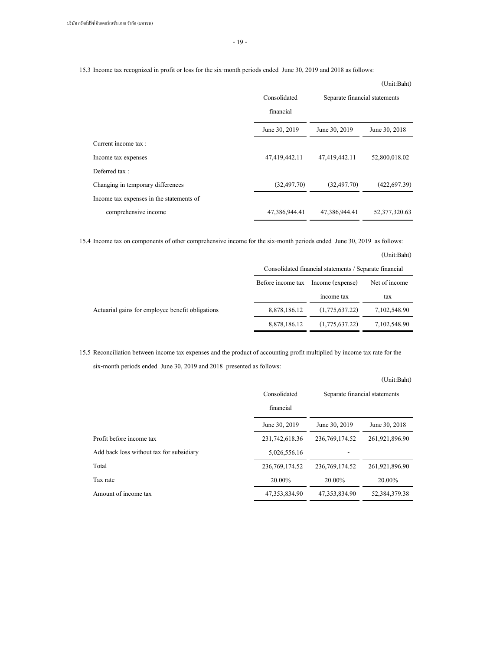- 19 -

15.3 Income tax recognized in profit or loss for the six-month periods ended June 30, 2019 and 2018 as follows:

|                                          |                           |                               | $\overline{u}$   |
|------------------------------------------|---------------------------|-------------------------------|------------------|
|                                          | Consolidated<br>financial | Separate financial statements |                  |
|                                          | June 30, 2019             | June 30, 2019                 | June 30, 2018    |
| Current income tax :                     |                           |                               |                  |
| Income tax expenses                      | 47,419,442.11             | 47,419,442.11                 | 52,800,018.02    |
| Deferred tax:                            |                           |                               |                  |
| Changing in temporary differences        | (32, 497, 70)             | (32, 497, 70)                 | (422, 697, 39)   |
| Income tax expenses in the statements of |                           |                               |                  |
| comprehensive income                     | 47,386,944.41             | 47,386,944.41                 | 52, 377, 320, 63 |

15.4 Income tax on components of other comprehensive income for the six-month periods ended June 30, 2019 as follows:

# (Unit:Baht)

|                                                  | Consolidated financial statements / Separate financial |                |              |  |
|--------------------------------------------------|--------------------------------------------------------|----------------|--------------|--|
|                                                  | Income (expense)<br>Before income tax<br>Net of income |                |              |  |
|                                                  |                                                        | income tax     | tax          |  |
| Actuarial gains for employee benefit obligations | 8,878,186.12                                           | (1,775,637,22) | 7,102,548.90 |  |
|                                                  | 8,878,186.12                                           | (1,775,637.22) | 7,102,548.90 |  |

15.5 Reconciliation between income tax expenses and the product of accounting profit multiplied by income tax rate for the six-month periods ended June 30, 2019 and 2018 presented as follows:

# (Unit:Baht)

|                                          | Consolidated<br>financial | Separate financial statements |                  |  |
|------------------------------------------|---------------------------|-------------------------------|------------------|--|
|                                          | June 30, 2019             | June 30, 2019                 | June 30, 2018    |  |
| Profit before income tax                 | 231,742,618.36            | 236, 769, 174, 52             | 261,921,896.90   |  |
| Add back loss without tax for subsidiary | 5,026,556.16              |                               |                  |  |
| Total                                    | 236, 769, 174, 52         | 236, 769, 174, 52             | 261,921,896.90   |  |
| Tax rate                                 | 20.00%                    | 20.00%                        | 20.00%           |  |
| Amount of income tax                     | 47, 353, 834, 90          | 47, 353, 834, 90              | 52, 384, 379, 38 |  |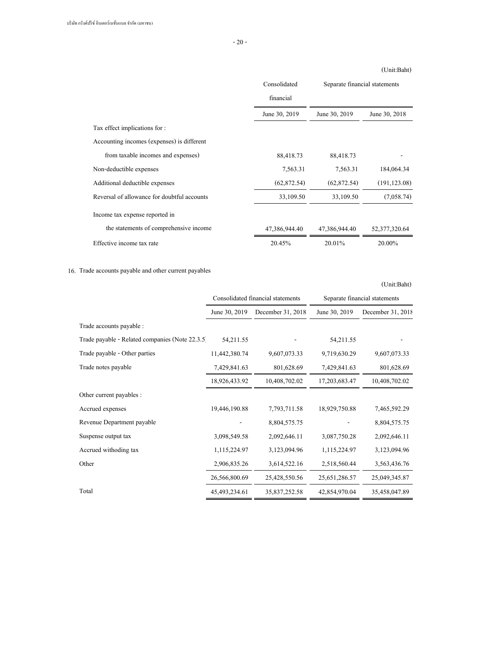- 20 -

# (Unit:Baht)

|                                             | Consolidated  | Separate financial statements |                  |
|---------------------------------------------|---------------|-------------------------------|------------------|
|                                             | financial     |                               |                  |
|                                             | June 30, 2019 | June 30, 2019                 | June 30, 2018    |
| Tax effect implications for :               |               |                               |                  |
| Accounting incomes (expenses) is different  |               |                               |                  |
| from taxable incomes and expenses)          | 88,418.73     | 88,418.73                     |                  |
| Non-deductible expenses                     | 7,563.31      | 7.563.31                      | 184,064.34       |
| Additional deductible expenses              | (62, 872.54)  | (62, 872, 54)                 | (191, 123.08)    |
| Reversal of allowance for doubtful accounts | 33,109.50     | 33,109.50                     | (7,058,74)       |
| Income tax expense reported in              |               |                               |                  |
| the statements of comprehensive income      | 47,386,944.40 | 47,386,944.40                 | 52, 377, 320, 64 |
| Effective income tax rate                   | 20.45%        | 20.01%                        | 20.00%           |

# 16. Trade accounts payable and other current payables

|                                                 | Consolidated financial statements |                   | Separate financial statements |                     |
|-------------------------------------------------|-----------------------------------|-------------------|-------------------------------|---------------------|
|                                                 | June 30, 2019                     | December 31, 2018 | June 30, 2019                 | December 31, $2018$ |
| Trade accounts payable :                        |                                   |                   |                               |                     |
| Trade payable - Related companies (Note 22.3.5) | 54,211.55                         |                   | 54, 211.55                    |                     |
| Trade payable - Other parties                   | 11,442,380.74                     | 9,607,073.33      | 9,719,630.29                  | 9,607,073.33        |
| Trade notes payable                             | 7,429,841.63                      | 801,628.69        | 7,429,841.63                  | 801,628.69          |
|                                                 | 18,926,433.92                     | 10,408,702.02     | 17,203,683.47                 | 10,408,702.02       |
| Other current payables :                        |                                   |                   |                               |                     |
| Accrued expenses                                | 19,446,190.88                     | 7,793,711.58      | 18,929,750.88                 | 7,465,592.29        |
| Revenue Department payable                      |                                   | 8,804,575.75      |                               | 8,804,575.75        |
| Suspense output tax                             | 3,098,549.58                      | 2,092,646.11      | 3,087,750.28                  | 2,092,646.11        |
| Accrued withoding tax                           | 1,115,224.97                      | 3,123,094.96      | 1,115,224.97                  | 3,123,094.96        |
| Other                                           | 2,906,835.26                      | 3,614,522.16      | 2,518,560.44                  | 3,563,436.76        |
|                                                 | 26,566,800.69                     | 25,428,550.56     | 25,651,286.57                 | 25,049,345.87       |
| Total                                           | 45, 493, 234. 61                  | 35,837,252.58     | 42,854,970.04                 | 35,458,047.89       |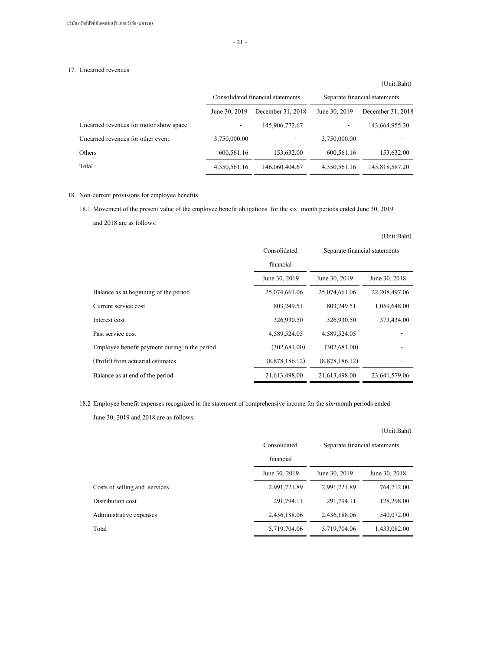## 17. Unearned revenues

# June 30, 2019 December 31, 2018 June 30, 2019 December 31, 2018 Unearned revenues for motor show space  $145,906,772.67$   $143,664,955.20$ Unearned revenues for other event 3,750,000.00 - 3,750,000.00 - 3,750,000.00 Others 600,561.16 153,632.00 600,561.16 153,632.00 Total 4,350,561.16 146,060,404.67 4,350,561.16 143,818,587.20 Consolidated financial statements Separate financial statements

# 18. Non-current provisions for employee benefits

18.1 Movement of the present value of the employee benefit obligations for the six- month periods ended June 30, 2019 and 2018 are as follows:

|                                               | Consolidated<br>financial | Separate financial statements |                  |
|-----------------------------------------------|---------------------------|-------------------------------|------------------|
|                                               | June 30, 2019             | June 30, 2019                 | June 30, 2018    |
| Balance as at beginning of the period         | 25,074,661.06             | 25,074,661.06                 | 22, 208, 497, 06 |
| Current service cost                          | 803,249.51                | 803,249.51                    | 1,059,648.00     |
| Interest cost                                 | 326,930.50                | 326,930.50                    | 373,434.00       |
| Past service cost                             | 4,589,524.05              | 4,589,524.05                  |                  |
| Employee benefit payment during in the period | (302, 681, 00)            | (302, 681, 00)                |                  |
| (Profit) from actuarial estimates             | (8,878,186,12)            | (8,878,186,12)                |                  |
| Balance as at end of the period               | 21,613,498.00             | 21,613,498.00                 | 23,641,579.06    |

18.2 Employee benefit expenses recognized in the statement of comprehensive income for the six-month periods ended

June 30, 2019 and 2018 are as follows:

|                               |               |                               | (Unit:Baht)   |
|-------------------------------|---------------|-------------------------------|---------------|
|                               | Consolidated  | Separate financial statements |               |
|                               | financial     |                               |               |
|                               | June 30, 2019 | June 30, 2019                 | June 30, 2018 |
| Costs of selling and services | 2,991,721.89  | 2,991,721.89                  | 764,712.00    |
| Distribution cost             | 291,794.11    | 291,794.11                    | 128,298.00    |
| Administrative expenses       | 2,436,188.06  | 2,436,188.06                  | 540,072.00    |
| Total                         | 5,719,704.06  | 5,719,704.06                  | 1,433,082.00  |

(Unit:Baht)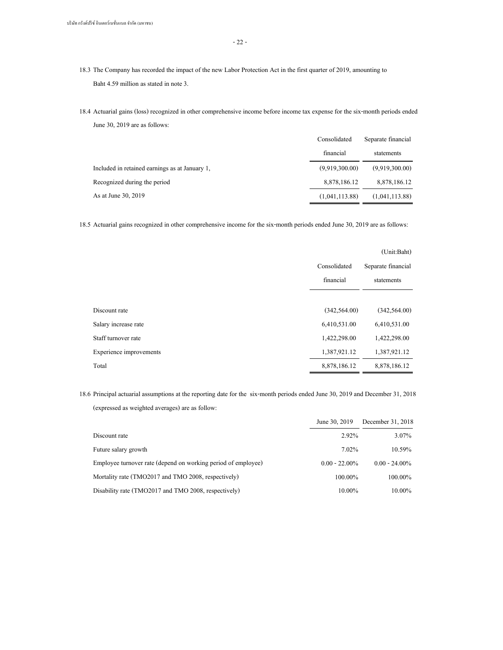- 22 -

- 18.3 The Company has recorded the impact of the new Labor Protection Act in the first quarter of 2019, amounting to Baht 4.59 million as stated in note 3.
- 18.4 Actuarial gains (loss) recognized in other comprehensive income before income tax expense for the six-month periods ended June 30, 2019 are as follows:

|                                                | Consolidated   | Separate financial |
|------------------------------------------------|----------------|--------------------|
|                                                | financial      | statements         |
| Included in retained earnings as at January 1. | (9,919,300,00) | (9.919,300,00)     |
| Recognized during the period                   | 8,878,186,12   | 8,878,186,12       |
| As at June 30, 2019                            | (1,041,113.88) | (1,041,113.88)     |

18.5 Actuarial gains recognized in other comprehensive income for the six-month periods ended June 30, 2019 are as follows:

|                         |                | (Unit:Baht)        |
|-------------------------|----------------|--------------------|
|                         | Consolidated   | Separate financial |
|                         | financial      | statements         |
|                         |                |                    |
| Discount rate           | (342, 564, 00) | (342, 564, 00)     |
| Salary increase rate    | 6,410,531.00   | 6,410,531.00       |
| Staff turnover rate     | 1,422,298.00   | 1,422,298.00       |
| Experience improvements | 1,387,921.12   | 1,387,921.12       |
| Total                   | 8,878,186.12   | 8,878,186.12       |

18.6 Principal actuarial assumptions at the reporting date for the six-month periods ended June 30, 2019 and December 31, 2018 (expressed as weighted averages) are as follow:

|                                                               | June 30, 2019    | December 31, 2018 |
|---------------------------------------------------------------|------------------|-------------------|
| Discount rate                                                 | $2.92\%$         | $3.07\%$          |
| Future salary growth                                          | $7.02\%$         | 10.59%            |
| Employee turnover rate (depend on working period of employee) | $0.00 - 22.00\%$ | $0.00 - 24.00\%$  |
| Mortality rate (TMO2017 and TMO 2008, respectively)           | 100.00%          | $100.00\%$        |
| Disability rate (TMO2017 and TMO 2008, respectively)          | 10.00%           | $10.00\%$         |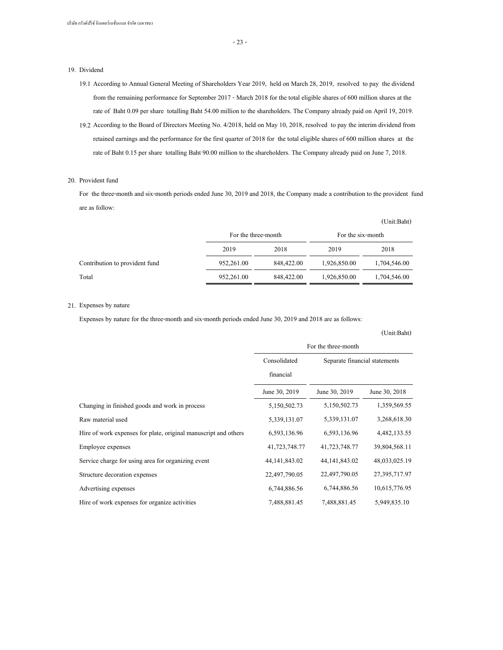#### 19. Dividend

- 19.1 According to Annual General Meeting of Shareholders Year 2019, held on March 28, 2019, resolved to pay the dividend from the remaining performance for September 2017 - March 2018 for the total eligible shares of 600 million shares at the rate of Baht 0.09 per share totalling Baht 54.00 million to the shareholders. The Company already paid on April 19, 2019.
- 19.2 According to the Board of Directors Meeting No. 4/2018, held on May 10, 2018, resolved to pay the interim dividend from retained earnings and the performance for the first quarter of 2018 for the total eligible shares of 600 million shares at the rate of Baht 0.15 per share totalling Baht 90.00 million to the shareholders. The Company already paid on June 7, 2018.

# 20. Provident fund

For the three-month and six-month periods ended June 30, 2019 and 2018, the Company made a contribution to the provident fund are as follow:

|                                |                     |            |                   | (Unit:Baht)  |
|--------------------------------|---------------------|------------|-------------------|--------------|
|                                | For the three-month |            | For the six-month |              |
|                                | 2019                | 2018       | 2019              | 2018         |
| Contribution to provident fund | 952,261,00          | 848,422.00 | 1,926,850.00      | 1,704,546.00 |
| Total                          | 952,261,00          | 848,422.00 | 1,926,850.00      | 1,704,546.00 |

#### 21. Expenses by nature

Expenses by nature for the three-month and six-month periods ended June 30, 2019 and 2018 are as follows:

|                                                                 | For the three-month |                               |               |
|-----------------------------------------------------------------|---------------------|-------------------------------|---------------|
|                                                                 | Consolidated        | Separate financial statements |               |
|                                                                 | financial           |                               |               |
|                                                                 | June 30, 2019       | June 30, 2019                 | June 30, 2018 |
| Changing in finished goods and work in process                  | 5,150,502.73        | 5,150,502.73                  | 1,359,569.55  |
| Raw material used                                               | 5,339,131.07        | 5,339,131.07                  | 3,268,618.30  |
| Hire of work expenses for plate, original manuscript and others | 6,593,136.96        | 6,593,136.96                  | 4,482,133.55  |
| Employee expenses                                               | 41,723,748.77       | 41,723,748.77                 | 39,804,568.11 |
| Service charge for using area for organizing event              | 44, 141, 843. 02    | 44, 141, 843. 02              | 48,033,025.19 |
| Structure decoration expenses                                   | 22,497,790.05       | 22,497,790.05                 | 27,395,717.97 |
| Advertising expenses                                            | 6,744,886.56        | 6,744,886.56                  | 10,615,776.95 |
| Hire of work expenses for organize activities                   | 7,488,881.45        | 7,488,881.45                  | 5,949,835.10  |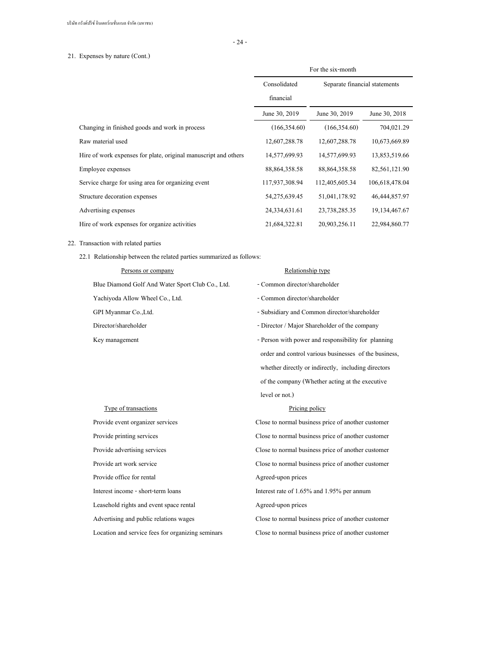- 24 -

# 21. Expenses by nature (Cont.)

|                                                                 | For the six-month |                               |                  |
|-----------------------------------------------------------------|-------------------|-------------------------------|------------------|
|                                                                 | Consolidated      | Separate financial statements |                  |
|                                                                 | financial         |                               |                  |
|                                                                 | June 30, 2019     | June 30, 2019                 | June 30, 2018    |
| Changing in finished goods and work in process                  | (166, 354, 60)    | (166, 354, 60)                | 704,021.29       |
| Raw material used                                               | 12,607,288.78     | 12,607,288.78                 | 10,673,669.89    |
| Hire of work expenses for plate, original manuscript and others | 14,577,699.93     | 14,577,699.93                 | 13,853,519.66    |
| Employee expenses                                               | 88, 864, 358. 58  | 88, 864, 358. 58              | 82,561,121.90    |
| Service charge for using area for organizing event              | 117,937,308.94    | 112,405,605.34                | 106,618,478.04   |
| Structure decoration expenses                                   | 54,275,639.45     | 51,041,178.92                 | 46,444,857.97    |
| Advertising expenses                                            | 24,334,631.61     | 23,738,285.35                 | 19, 134, 467. 67 |
| Hire of work expenses for organize activities                   | 21,684,322.81     | 20,903,256.11                 | 22,984,860.77    |

# 22. Transaction with related parties

22.1 Relationship between the related parties summarized as follows:

| Persons or company                               | Relationship type                                     |
|--------------------------------------------------|-------------------------------------------------------|
| Blue Diamond Golf And Water Sport Club Co., Ltd. | - Common director/shareholder                         |
| Yachiyoda Allow Wheel Co., Ltd.                  | - Common director/shareholder                         |
| GPI Myanmar Co., Ltd.                            | - Subsidiary and Common director/shareholder          |
| Director/shareholder                             | - Director / Major Shareholder of the company         |
| Key management                                   | - Person with power and responsibility for planning   |
|                                                  | order and control various businesses of the business. |
|                                                  | whether directly or indirectly, including directors   |
|                                                  | of the company (Whether acting at the executive       |
|                                                  | level or not.)                                        |
|                                                  |                                                       |
| Type of transactions                             | Pricing policy                                        |
| Provide event organizer services                 | Close to normal business price of another customer    |
| Provide printing services                        | Close to normal business price of another customer    |
| Provide advertising services                     | Close to normal business price of another customer    |
| Provide art work service                         | Close to normal business price of another customer    |
| Provide office for rental                        | Agreed-upon prices                                    |
| Interest income - short-term loans               | Interest rate of 1.65% and 1.95% per annum            |
| Leasehold rights and event space rental          | Agreed-upon prices                                    |
| Advertising and public relations wages           | Close to normal business price of another customer    |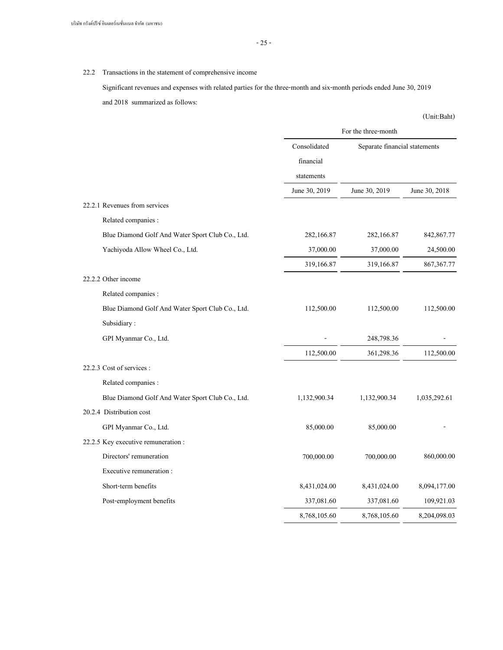# 22.2 Transactions in the statement of comprehensive income

Significant revenues and expenses with related parties for the three-month and six-month periods ended June 30, 2019 and 2018 summarized as follows:

|                                                  | For the three-month |                               |               |
|--------------------------------------------------|---------------------|-------------------------------|---------------|
|                                                  | Consolidated        | Separate financial statements |               |
|                                                  | financial           |                               |               |
|                                                  | statements          |                               |               |
|                                                  | June 30, 2019       | June 30, 2019                 | June 30, 2018 |
| 22.2.1 Revenues from services                    |                     |                               |               |
| Related companies :                              |                     |                               |               |
| Blue Diamond Golf And Water Sport Club Co., Ltd. | 282,166.87          | 282,166.87                    | 842,867.77    |
| Yachiyoda Allow Wheel Co., Ltd.                  | 37,000.00           | 37,000.00                     | 24,500.00     |
|                                                  | 319,166.87          | 319,166.87                    | 867, 367. 77  |
| 22.2.2 Other income                              |                     |                               |               |
| Related companies :                              |                     |                               |               |
| Blue Diamond Golf And Water Sport Club Co., Ltd. | 112,500.00          | 112,500.00                    | 112,500.00    |
| Subsidiary:                                      |                     |                               |               |
| GPI Myanmar Co., Ltd.                            |                     | 248,798.36                    |               |
|                                                  | 112,500.00          | 361,298.36                    | 112,500.00    |
| 22.2.3 Cost of services :                        |                     |                               |               |
| Related companies :                              |                     |                               |               |
| Blue Diamond Golf And Water Sport Club Co., Ltd. | 1,132,900.34        | 1,132,900.34                  | 1,035,292.61  |
| 20.2.4 Distribution cost                         |                     |                               |               |
| GPI Myanmar Co., Ltd.                            | 85,000.00           | 85,000.00                     |               |
| 22.2.5 Key executive remuneration :              |                     |                               |               |
| Directors' remuneration                          | 700,000.00          | 700,000.00                    | 860,000.00    |
| Executive remuneration:                          |                     |                               |               |
| Short-term benefits                              | 8,431,024.00        | 8,431,024.00                  | 8,094,177.00  |
| Post-employment benefits                         | 337,081.60          | 337,081.60                    | 109,921.03    |
|                                                  | 8,768,105.60        | 8,768,105.60                  | 8,204,098.03  |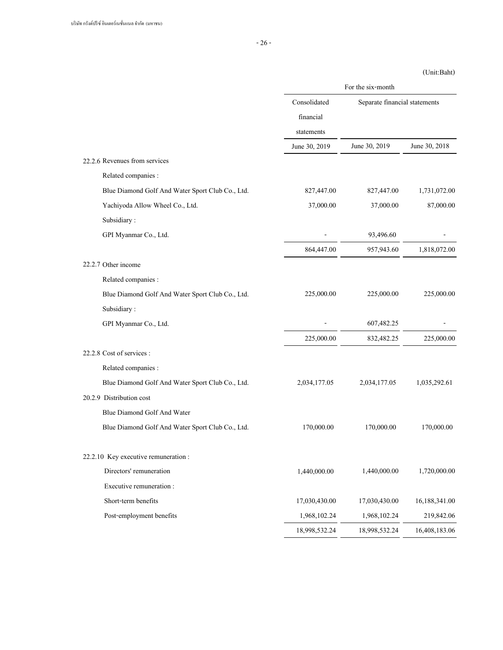|                                                  | For the six-month |                               |               |  |
|--------------------------------------------------|-------------------|-------------------------------|---------------|--|
|                                                  | Consolidated      | Separate financial statements |               |  |
|                                                  | financial         |                               |               |  |
|                                                  | statements        |                               |               |  |
|                                                  | June 30, 2019     | June 30, 2019                 | June 30, 2018 |  |
| 22.2.6 Revenues from services                    |                   |                               |               |  |
| Related companies :                              |                   |                               |               |  |
| Blue Diamond Golf And Water Sport Club Co., Ltd. | 827,447.00        | 827,447.00                    | 1,731,072.00  |  |
| Yachiyoda Allow Wheel Co., Ltd.                  | 37,000.00         | 37,000.00                     | 87,000.00     |  |
| Subsidiary:                                      |                   |                               |               |  |
| GPI Myanmar Co., Ltd.                            |                   | 93,496.60                     |               |  |
|                                                  | 864,447.00        | 957,943.60                    | 1,818,072.00  |  |
| 22.2.7 Other income                              |                   |                               |               |  |
| Related companies :                              |                   |                               |               |  |
| Blue Diamond Golf And Water Sport Club Co., Ltd. | 225,000.00        | 225,000.00                    | 225,000.00    |  |
| Subsidiary:                                      |                   |                               |               |  |
| GPI Myanmar Co., Ltd.                            |                   | 607,482.25                    |               |  |
|                                                  | 225,000.00        | 832,482.25                    | 225,000.00    |  |
| 22.2.8 Cost of services :                        |                   |                               |               |  |
| Related companies :                              |                   |                               |               |  |
| Blue Diamond Golf And Water Sport Club Co., Ltd. | 2,034,177.05      | 2,034,177.05                  | 1,035,292.61  |  |
| 20.2.9 Distribution cost                         |                   |                               |               |  |
| Blue Diamond Golf And Water                      |                   |                               |               |  |
| Blue Diamond Golf And Water Sport Club Co., Ltd. | 170,000.00        | 170,000.00                    | 170,000.00    |  |
| 22.2.10 Key executive remuneration :             |                   |                               |               |  |
| Directors' remuneration                          | 1,440,000.00      | 1,440,000.00                  | 1,720,000.00  |  |
| Executive remuneration :                         |                   |                               |               |  |
| Short-term benefits                              | 17,030,430.00     | 17,030,430.00                 | 16,188,341.00 |  |
| Post-employment benefits                         | 1,968,102.24      | 1,968,102.24                  | 219,842.06    |  |
|                                                  | 18,998,532.24     | 18,998,532.24                 | 16,408,183.06 |  |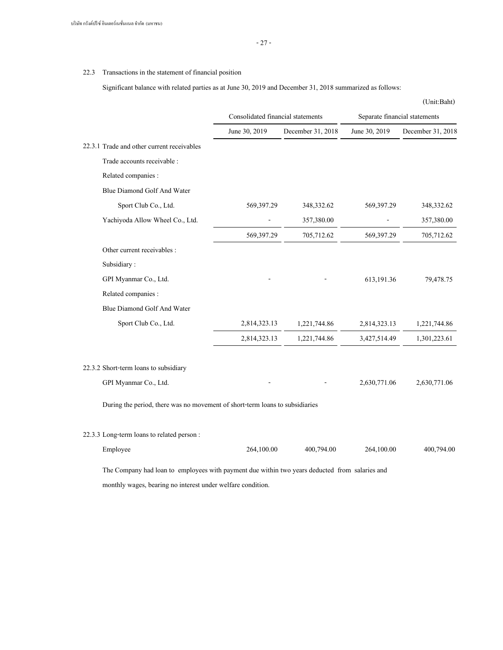# 22.3 Transactions in the statement of financial position

Significant balance with related parties as at June 30, 2019 and December 31, 2018 summarized as follows:

|                                                                              |                                   |                   |                               | (Unit:Baht)       |  |
|------------------------------------------------------------------------------|-----------------------------------|-------------------|-------------------------------|-------------------|--|
|                                                                              | Consolidated financial statements |                   | Separate financial statements |                   |  |
|                                                                              | June 30, 2019                     | December 31, 2018 | June 30, 2019                 | December 31, 2018 |  |
| 22.3.1 Trade and other current receivables                                   |                                   |                   |                               |                   |  |
| Trade accounts receivable :                                                  |                                   |                   |                               |                   |  |
| Related companies :                                                          |                                   |                   |                               |                   |  |
| Blue Diamond Golf And Water                                                  |                                   |                   |                               |                   |  |
| Sport Club Co., Ltd.                                                         | 569,397.29                        | 348,332.62        | 569,397.29                    | 348,332.62        |  |
| Yachiyoda Allow Wheel Co., Ltd.                                              |                                   | 357,380.00        |                               | 357,380.00        |  |
|                                                                              | 569,397.29                        | 705,712.62        | 569,397.29                    | 705,712.62        |  |
| Other current receivables :                                                  |                                   |                   |                               |                   |  |
| Subsidiary:                                                                  |                                   |                   |                               |                   |  |
| GPI Myanmar Co., Ltd.                                                        |                                   |                   | 613,191.36                    | 79,478.75         |  |
| Related companies :                                                          |                                   |                   |                               |                   |  |
| Blue Diamond Golf And Water                                                  |                                   |                   |                               |                   |  |
| Sport Club Co., Ltd.                                                         | 2,814,323.13                      | 1,221,744.86      | 2,814,323.13                  | 1,221,744.86      |  |
|                                                                              | 2,814,323.13                      | 1,221,744.86      | 3,427,514.49                  | 1,301,223.61      |  |
| 22.3.2 Short-term loans to subsidiary                                        |                                   |                   |                               |                   |  |
| GPI Myanmar Co., Ltd.                                                        |                                   |                   | 2,630,771.06                  | 2,630,771.06      |  |
| During the period, there was no movement of short-term loans to subsidiaries |                                   |                   |                               |                   |  |
| 22.3.3 Long-term loans to related person:                                    |                                   |                   |                               |                   |  |
| Employee                                                                     | 264,100.00                        | 400,794.00        | 264,100.00                    | 400,794.00        |  |

The Company had loan to employees with payment due within two years deducted from salaries and monthly wages, bearing no interest under welfare condition.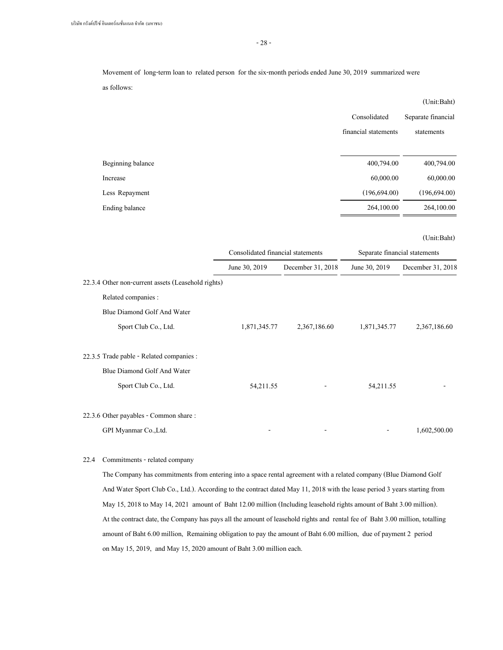- 28 -

Movement of long-term loan to related person for the six-month periods ended June 30, 2019 summarized were as follows:

|                   |                      | (Unit:Baht)        |
|-------------------|----------------------|--------------------|
|                   | Consolidated         | Separate financial |
|                   | financial statements | statements         |
|                   |                      |                    |
| Beginning balance | 400,794.00           | 400,794.00         |
| Increase          | 60,000.00            | 60,000.00          |
| Less Repayment    | (196, 694.00)        | (196, 694.00)      |
| Ending balance    | 264,100.00           | 264,100.00         |

(Unit:Baht)

|                                                    | Consolidated financial statements |                   | Separate financial statements |                   |  |
|----------------------------------------------------|-----------------------------------|-------------------|-------------------------------|-------------------|--|
|                                                    | June 30, 2019                     | December 31, 2018 | June 30, 2019                 | December 31, 2018 |  |
| 22.3.4 Other non-current assets (Leasehold rights) |                                   |                   |                               |                   |  |
| Related companies :                                |                                   |                   |                               |                   |  |
| Blue Diamond Golf And Water                        |                                   |                   |                               |                   |  |
| Sport Club Co., Ltd.                               | 1,871,345.77                      | 2,367,186.60      | 1,871,345.77                  | 2,367,186.60      |  |
| 22.3.5 Trade pable - Related companies :           |                                   |                   |                               |                   |  |
| Blue Diamond Golf And Water                        |                                   |                   |                               |                   |  |
| Sport Club Co., Ltd.                               | 54,211.55                         |                   | 54,211.55                     |                   |  |
| 22.3.6 Other payables - Common share:              |                                   |                   |                               |                   |  |
| GPI Myanmar Co., Ltd.                              |                                   |                   |                               | 1,602,500.00      |  |

# 22.4 Commitments - related company

The Company has commitments from entering into a space rental agreement with a related company (Blue Diamond Golf And Water Sport Club Co., Ltd.). According to the contract dated May 11, 2018 with the lease period 3 years starting from May 15, 2018 to May 14, 2021 amount of Baht 12.00 million (Including leasehold rights amount of Baht 3.00 million). At the contract date, the Company has pays all the amount of leasehold rights and rental fee of Baht 3.00 million, totalling amount of Baht 6.00 million, Remaining obligation to pay the amount of Baht 6.00 million, due of payment 2 period on May 15, 2019, and May 15, 2020 amount of Baht 3.00 million each.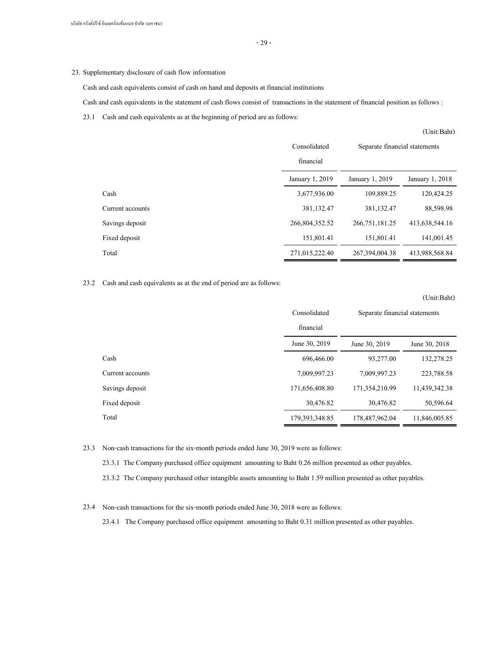# 23. Supplementary disclosure of cash flow information

Cash and cash equivalents consist of cash on hand and deposits at financial institutions

Cash and cash equivalents in the statement of cash flows consist of transactions in the statement of financial position as follows :

23.1 Cash and cash equivalents as at the beginning of period are as follows:

|                  |                 |                               | (Unit:Baht)     |
|------------------|-----------------|-------------------------------|-----------------|
|                  | Consolidated    | Separate financial statements |                 |
|                  | financial       |                               |                 |
|                  | January 1, 2019 | January 1, 2019               | January 1, 2018 |
| Cash             | 3,677,936.00    | 109,889.25                    | 120,424.25      |
| Current accounts | 381,132.47      | 381,132.47                    | 88,598.98       |
| Savings deposit  | 266,804,352.52  | 266, 751, 181. 25             | 413,638,544.16  |
| Fixed deposit    | 151,801.41      | 151,801.41                    | 141,001.45      |
| Total            | 271,015,222,40  | 267, 394, 004, 38             | 413,988,568.84  |

#### 23.2 Cash and cash equivalents as at the end of period are as follows:

|                  |                  |                               | (Unit:Baht)   |
|------------------|------------------|-------------------------------|---------------|
|                  | Consolidated     | Separate financial statements |               |
|                  | financial        |                               |               |
|                  | June 30, 2019    | June 30, 2019                 | June 30, 2018 |
| Cash             | 696,466.00       | 93,277.00                     | 132,278.25    |
| Current accounts | 7,009,997.23     | 7,009,997.23                  | 223,788.58    |
| Savings deposit  | 171,656,408.80   | 171,354,210.99                | 11,439,342.38 |
| Fixed deposit    | 30,476.82        | 30,476.82                     | 50,596.64     |
| Total            | 179, 393, 348.85 | 178,487,962.04                | 11,846,005.85 |

23.3 Non-cash transactions for the six-month periods ended June 30, 2019 were as follows:

23.3.1 The Company purchased office equipment amounting to Baht 0.26 million presented as other payables.

23.3.2 The Company purchased other intangible assets amounting to Baht 1.59 million presented as other payables.

23.4 Non-cash transactions for the six-month periods ended June 30, 2018 were as follows:

23.4.1 The Company purchased office equipment amounting to Baht 0.31 million presented as other payables.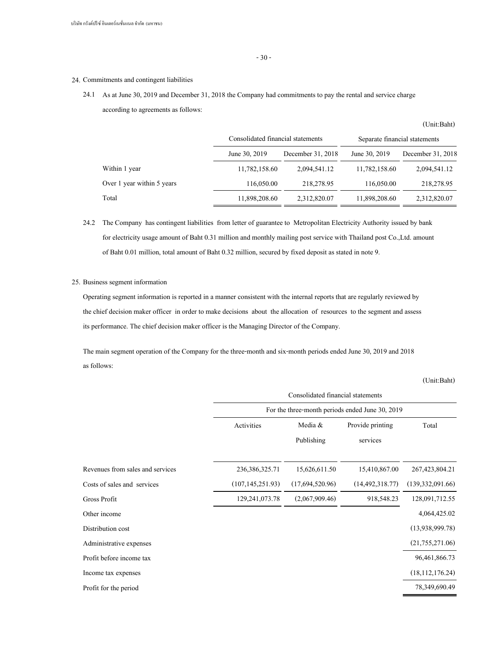#### 24. Commitments and contingent liabilities

# 24.1 As at June 30, 2019 and December 31, 2018 the Company had commitments to pay the rental and service charge according to agreements as follows:

|                            | Consolidated financial statements |                   | Separate financial statements |                   |  |
|----------------------------|-----------------------------------|-------------------|-------------------------------|-------------------|--|
|                            | June 30, 2019                     | December 31, 2018 | June 30, 2019                 | December 31, 2018 |  |
| Within 1 year              | 11,782,158.60                     | 2,094,541.12      | 11,782,158.60                 | 2,094,541.12      |  |
| Over 1 year within 5 years | 116,050.00                        | 218,278.95        | 116,050.00                    | 218,278.95        |  |
| Total                      | 11,898,208.60                     | 2,312,820.07      | 11,898,208.60                 | 2,312,820.07      |  |

24.2 The Company has contingent liabilities from letter of guarantee to Metropolitan Electricity Authority issued by bank for electricity usage amount of Baht 0.31 million and monthly mailing post service with Thailand post Co.,Ltd. amount of Baht 0.01 million, total amount of Baht 0.32 million, secured by fixed deposit as stated in note 9.

## 25. Business segment information

Operating segment information is reported in a manner consistent with the internal reports that are regularly reviewed by the chief decision maker officer in order to make decisions about the allocation of resources to the segment and assess its performance. The chief decision maker officer is the Managing Director of the Company.

The main segment operation of the Company for the three-month and six-month periods ended June 30, 2019 and 2018 as follows:

(Unit:Baht)

|                                  | Consolidated financial statements<br>For the three-month periods ended June 30, 2019 |                 |                    |                    |  |
|----------------------------------|--------------------------------------------------------------------------------------|-----------------|--------------------|--------------------|--|
|                                  |                                                                                      |                 |                    |                    |  |
|                                  | Activities                                                                           | Media &         | Provide printing   | Total              |  |
|                                  |                                                                                      | Publishing      | services           |                    |  |
| Revenues from sales and services | 236, 386, 325. 71                                                                    | 15,626,611.50   | 15,410,867.00      | 267, 423, 804. 21  |  |
| Costs of sales and services      | (107, 145, 251.93)                                                                   | (17,694,520.96) | (14, 492, 318, 77) | (139, 332, 091.66) |  |
| Gross Profit                     | 129, 241, 073. 78                                                                    | (2,067,909.46)  | 918,548.23         | 128,091,712.55     |  |
| Other income                     |                                                                                      |                 |                    | 4,064,425.02       |  |
| Distribution cost                |                                                                                      |                 |                    | (13,938,999.78)    |  |
| Administrative expenses          |                                                                                      |                 |                    | (21,755,271.06)    |  |
| Profit before income tax         |                                                                                      |                 |                    | 96,461,866.73      |  |
| Income tax expenses              |                                                                                      |                 |                    | (18, 112, 176, 24) |  |
| Profit for the period            |                                                                                      |                 |                    | 78,349,690.49      |  |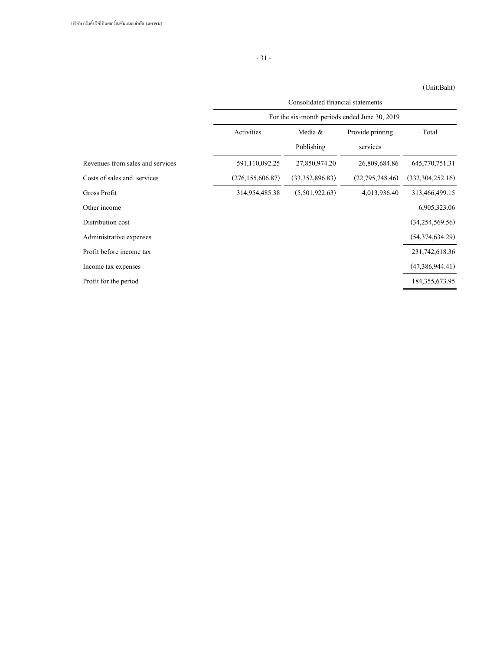|                                  | Consolidated financial statements             |                 |                   |                     |  |  |
|----------------------------------|-----------------------------------------------|-----------------|-------------------|---------------------|--|--|
|                                  | For the six-month periods ended June 30, 2019 |                 |                   |                     |  |  |
|                                  | Activities                                    | Media &         | Provide printing  | Total               |  |  |
|                                  |                                               | Publishing      | services          |                     |  |  |
| Revenues from sales and services | 591,110,092.25                                | 27,850,974.20   | 26,809,684.86     | 645,770,751.31      |  |  |
| Costs of sales and services      | (276, 155, 606.87)                            | (33,352,896.83) | (22, 795, 748.46) | (332, 304, 252, 16) |  |  |
| Gross Profit                     | 314,954,485.38                                | (5,501,922.63)  | 4,013,936.40      | 313,466,499.15      |  |  |
| Other income                     |                                               |                 |                   | 6,905,323.06        |  |  |
| Distribution cost                |                                               |                 |                   | (34,254,569.56)     |  |  |
| Administrative expenses          |                                               |                 |                   | (54,374,634,29)     |  |  |
| Profit before income tax         |                                               |                 |                   | 231,742,618.36      |  |  |
| Income tax expenses              |                                               |                 |                   | (47,386,944.41)     |  |  |
| Profit for the period            |                                               |                 |                   | 184, 355, 673. 95   |  |  |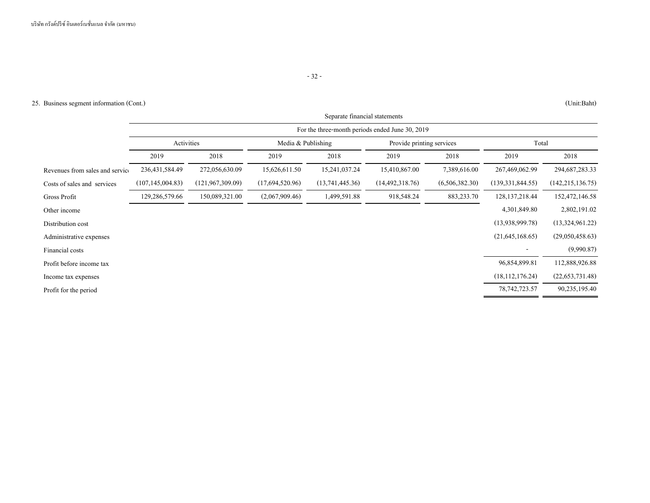# 25. Business segment information (Cont.) (Unit:Baht)

|                                 | Separate financial statements |                                                 |                    |                 |                           |                |                    |                    |  |
|---------------------------------|-------------------------------|-------------------------------------------------|--------------------|-----------------|---------------------------|----------------|--------------------|--------------------|--|
|                                 |                               | For the three-month periods ended June 30, 2019 |                    |                 |                           |                |                    |                    |  |
|                                 | Activities                    |                                                 | Media & Publishing |                 | Provide printing services |                | Total              |                    |  |
|                                 | 2019                          | 2018                                            | 2019               | 2018            | 2019                      | 2018           | 2019               | 2018               |  |
| Revenues from sales and service | 236, 431, 584. 49             | 272,056,630.09                                  | 15,626,611.50      | 15,241,037.24   | 15,410,867.00             | 7,389,616.00   | 267,469,062.99     | 294, 687, 283. 33  |  |
| Costs of sales and services     | (107, 145, 004.83)            | (121, 967, 309.09)                              | (17,694,520.96)    | (13,741,445.36) | (14, 492, 318, 76)        | (6,506,382.30) | (139, 331, 844.55) | (142, 215, 136.75) |  |
| Gross Profit                    | 129,286,579.66                | 150,089,321.00                                  | (2,067,909.46)     | 1,499,591.88    | 918,548.24                | 883, 233. 70   | 128, 137, 218. 44  | 152,472,146.58     |  |
| Other income                    |                               |                                                 |                    |                 |                           |                | 4,301,849.80       | 2,802,191.02       |  |
| Distribution cost               |                               |                                                 |                    |                 |                           |                | (13,938,999.78)    | (13,324,961,22)    |  |
| Administrative expenses         |                               |                                                 |                    |                 |                           |                | (21,645,168.65)    | (29,050,458.63)    |  |
| Financial costs                 |                               |                                                 |                    |                 |                           |                |                    | (9,990.87)         |  |
| Profit before income tax        |                               |                                                 |                    |                 |                           |                | 96,854,899.81      | 112,888,926.88     |  |
| Income tax expenses             |                               |                                                 |                    |                 |                           |                | (18, 112, 176.24)  | (22, 653, 731.48)  |  |
| Profit for the period           |                               |                                                 |                    |                 |                           |                | 78, 742, 723. 57   | 90,235,195.40      |  |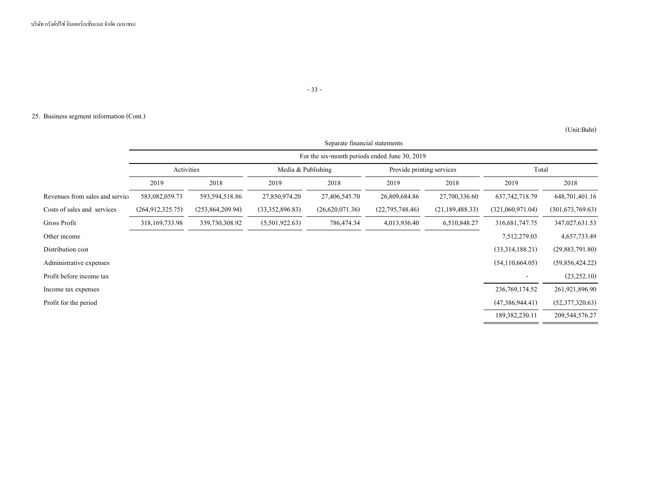# - 33 -

# 25. Business segment information (Cont.)

#### (Unit:Baht)

÷

 $\overline{\phantom{0}}$ 

|                                 | Separate financial statements |                                               |                    |                 |                           |                   |                   |                  |  |
|---------------------------------|-------------------------------|-----------------------------------------------|--------------------|-----------------|---------------------------|-------------------|-------------------|------------------|--|
|                                 |                               | For the six-month periods ended June 30, 2019 |                    |                 |                           |                   |                   |                  |  |
|                                 | Activities                    |                                               | Media & Publishing |                 | Provide printing services |                   | Total             |                  |  |
|                                 | 2019                          | 2018                                          | 2019               | 2018            | 2019                      | 2018              | 2019              | 2018             |  |
| Revenues from sales and service | 583,082,059.73                | 593,594,518.86                                | 27,850,974.20      | 27,406,545.70   | 26,809,684.86             | 27,700,336.60     | 637, 742, 718. 79 | 648,701,401.16   |  |
| Costs of sales and services     | (264, 912, 325.75)            | (253,864,209.94)                              | (33,352,896.83)    | (26,620,071.36) | (22,795,748.46)           | (21, 189, 488.33) | (321,060,971.04)  | (301,673,769.63) |  |
| Gross Profit                    | 318, 169, 733. 98             | 339,730,308.92                                | (5,501,922.63)     | 786,474.34      | 4,013,936.40              | 6,510,848.27      | 316, 681, 747. 75 | 347,027,631.53   |  |
| Other income                    |                               |                                               |                    |                 |                           |                   | 7,512,279.03      | 4,657,733.49     |  |
| Distribution cost               |                               |                                               |                    |                 |                           |                   | (33,314,188.21)   | (29,883,791.80)  |  |
| Administrative expenses         |                               |                                               |                    |                 |                           |                   | (54,110,664.05)   | (59,856,424.22)  |  |
| Profit before income tax        |                               |                                               |                    |                 |                           |                   |                   | (23, 252.10)     |  |
| Income tax expenses             |                               |                                               |                    |                 |                           |                   | 236, 769, 174.52  | 261,921,896.90   |  |
| Profit for the period           |                               |                                               |                    |                 |                           |                   | (47,386,944.41)   | (52,377,320.63)  |  |
|                                 |                               |                                               |                    |                 |                           |                   | 189,382,230.11    | 209,544,576.27   |  |